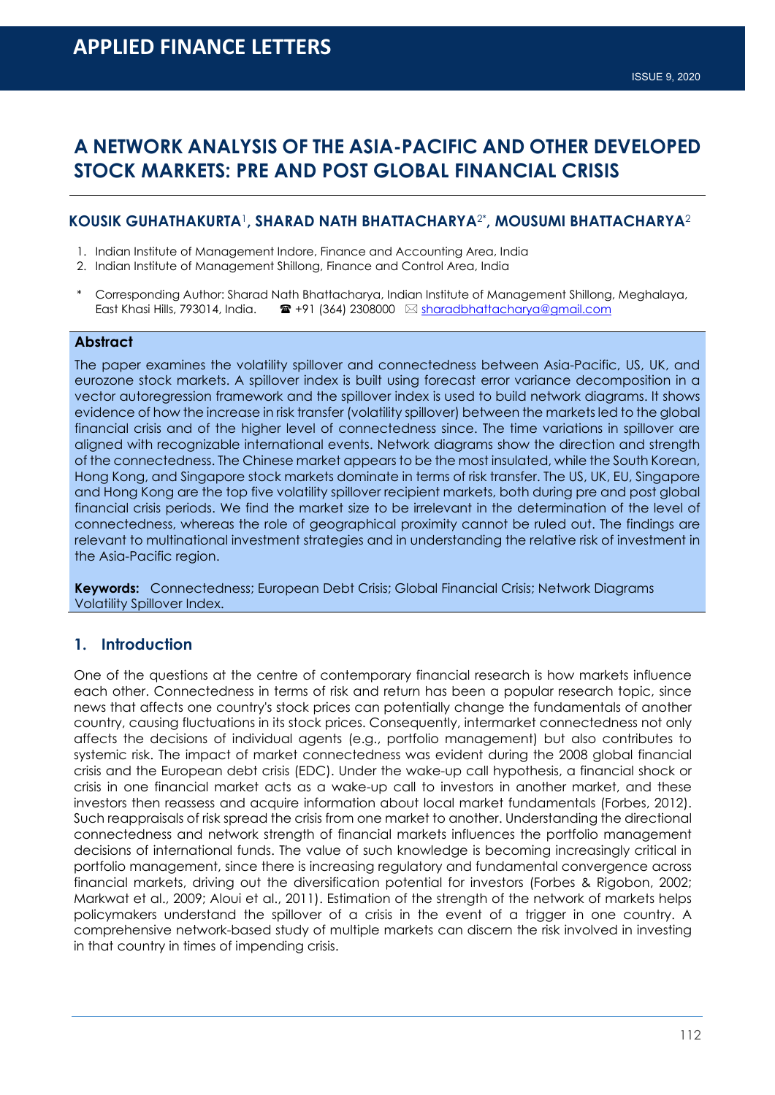# **A NETWORK ANALYSIS OF THE ASIA-PACIFIC AND OTHER DEVELOPED STOCK MARKETS: PRE AND POST GLOBAL FINANCIAL CRISIS**

### **KOUSIK GUHATHAKURTA**1**, SHARAD NATH BHATTACHARYA**2\***, MOUSUMI BHATTACHARYA**<sup>2</sup>

- 1. Indian Institute of Management Indore, Finance and Accounting Area, India
- 2. Indian Institute of Management Shillong, Finance and Control Area, India
- \* Corresponding Author: Sharad Nath Bhattacharya, Indian Institute of Management Shillong, Meghalaya,<br>East Khasi Hills, 793014, India.  $\bullet$  +91 (364) 2308000  $\boxtimes$  sharadbhattacharya@amail.com **■ +91 (364) 2308000** ⊠ sharadbhattacharya@gmail.com

#### **Abstract**

The paper examines the volatility spillover and connectedness between Asia-Pacific, US, UK, and eurozone stock markets. A spillover index is built using forecast error variance decomposition in a vector autoregression framework and the spillover index is used to build network diagrams. It shows evidence of how the increase in risk transfer (volatility spillover) between the markets led to the global financial crisis and of the higher level of connectedness since. The time variations in spillover are aligned with recognizable international events. Network diagrams show the direction and strength of the connectedness. The Chinese market appears to be the most insulated, while the South Korean, Hong Kong, and Singapore stock markets dominate in terms of risk transfer. The US, UK, EU, Singapore and Hong Kong are the top five volatility spillover recipient markets, both during pre and post global financial crisis periods. We find the market size to be irrelevant in the determination of the level of connectedness, whereas the role of geographical proximity cannot be ruled out. The findings are relevant to multinational investment strategies and in understanding the relative risk of investment in the Asia-Pacific region.

**Keywords:** Connectedness; European Debt Crisis; Global Financial Crisis; Network Diagrams Volatility Spillover Index.

# **1. Introduction**

One of the questions at the centre of contemporary financial research is how markets influence each other. Connectedness in terms of risk and return has been a popular research topic, since news that affects one country's stock prices can potentially change the fundamentals of another country, causing fluctuations in its stock prices. Consequently, intermarket connectedness not only affects the decisions of individual agents (e.g., portfolio management) but also contributes to systemic risk. The impact of market connectedness was evident during the 2008 global financial crisis and the European debt crisis (EDC). Under the wake-up call hypothesis, a financial shock or crisis in one financial market acts as a wake-up call to investors in another market, and these investors then reassess and acquire information about local market fundamentals (Forbes, 2012). Such reappraisals of risk spread the crisis from one market to another. Understanding the directional connectedness and network strength of financial markets influences the portfolio management decisions of international funds. The value of such knowledge is becoming increasingly critical in portfolio management, since there is increasing regulatory and fundamental convergence across financial markets, driving out the diversification potential for investors (Forbes & Rigobon, 2002; Markwat et al., 2009; Aloui et al., 2011). Estimation of the strength of the network of markets helps policymakers understand the spillover of a crisis in the event of a trigger in one country. A comprehensive network-based study of multiple markets can discern the risk involved in investing in that country in times of impending crisis.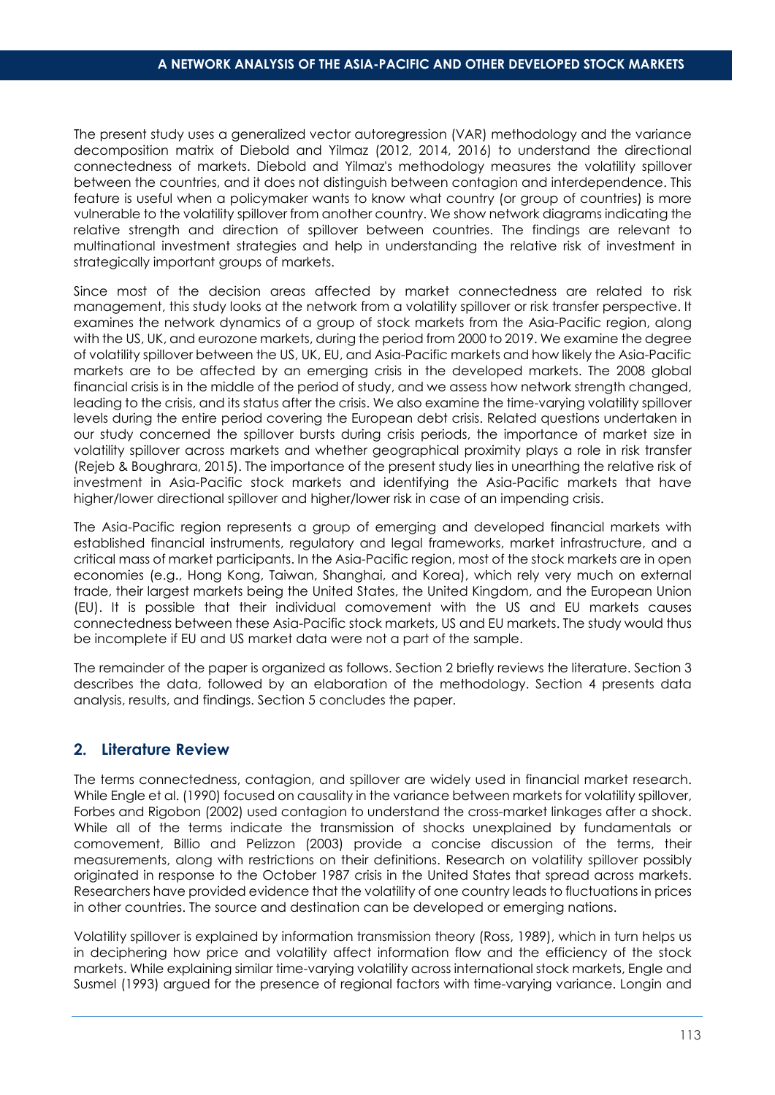The present study uses a generalized vector autoregression (VAR) methodology and the variance decomposition matrix of Diebold and Yilmaz (2012, 2014, 2016) to understand the directional connectedness of markets. Diebold and Yilmaz's methodology measures the volatility spillover between the countries, and it does not distinguish between contagion and interdependence. This feature is useful when a policymaker wants to know what country (or group of countries) is more vulnerable to the volatility spillover from another country. We show network diagrams indicating the relative strength and direction of spillover between countries. The findings are relevant to multinational investment strategies and help in understanding the relative risk of investment in strategically important groups of markets.

Since most of the decision areas affected by market connectedness are related to risk management, this study looks at the network from a volatility spillover or risk transfer perspective. It examines the network dynamics of a group of stock markets from the Asia-Pacific region, along with the US, UK, and eurozone markets, during the period from 2000 to 2019. We examine the degree of volatility spillover between the US, UK, EU, and Asia-Pacific markets and how likely the Asia-Pacific markets are to be affected by an emerging crisis in the developed markets. The 2008 global financial crisis is in the middle of the period of study, and we assess how network strength changed, leading to the crisis, and its status after the crisis. We also examine the time-varying volatility spillover levels during the entire period covering the European debt crisis. Related questions undertaken in our study concerned the spillover bursts during crisis periods, the importance of market size in volatility spillover across markets and whether geographical proximity plays a role in risk transfer (Rejeb & Boughrara, 2015). The importance of the present study lies in unearthing the relative risk of investment in Asia-Pacific stock markets and identifying the Asia-Pacific markets that have higher/lower directional spillover and higher/lower risk in case of an impending crisis.

The Asia-Pacific region represents a group of emerging and developed financial markets with established financial instruments, regulatory and legal frameworks, market infrastructure, and a critical mass of market participants. In the Asia-Pacific region, most of the stock markets are in open economies (e.g., Hong Kong, Taiwan, Shanghai, and Korea), which rely very much on external trade, their largest markets being the United States, the United Kingdom, and the European Union (EU). It is possible that their individual comovement with the US and EU markets causes connectedness between these Asia-Pacific stock markets, US and EU markets. The study would thus be incomplete if EU and US market data were not a part of the sample.

The remainder of the paper is organized as follows. Section 2 briefly reviews the literature. Section 3 describes the data, followed by an elaboration of the methodology. Section 4 presents data analysis, results, and findings. Section 5 concludes the paper.

# **2. Literature Review**

The terms connectedness, contagion, and spillover are widely used in financial market research. While Engle et al. (1990) focused on causality in the variance between markets for volatility spillover, Forbes and Rigobon (2002) used contagion to understand the cross-market linkages after a shock. While all of the terms indicate the transmission of shocks unexplained by fundamentals or comovement, Billio and Pelizzon (2003) provide a concise discussion of the terms, their measurements, along with restrictions on their definitions. Research on volatility spillover possibly originated in response to the October 1987 crisis in the United States that spread across markets. Researchers have provided evidence that the volatility of one country leads to fluctuations in prices in other countries. The source and destination can be developed or emerging nations.

Volatility spillover is explained by information transmission theory (Ross, 1989), which in turn helps us in deciphering how price and volatility affect information flow and the efficiency of the stock markets. While explaining similar time-varying volatility across international stock markets, Engle and Susmel (1993) argued for the presence of regional factors with time-varying variance. Longin and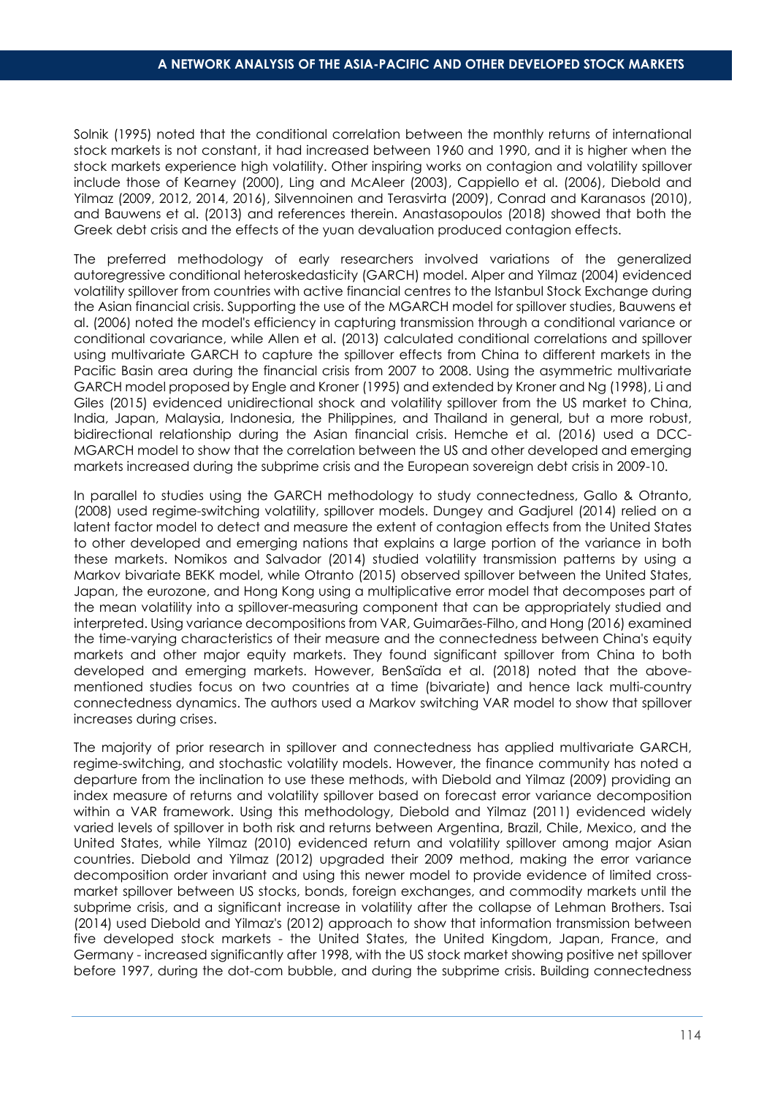Solnik (1995) noted that the conditional correlation between the monthly returns of international stock markets is not constant, it had increased between 1960 and 1990, and it is higher when the stock markets experience high volatility. Other inspiring works on contagion and volatility spillover include those of Kearney (2000), Ling and McAleer (2003), Cappiello et al. (2006), Diebold and Yilmaz (2009, 2012, 2014, 2016), Silvennoinen and Terasvirta (2009), Conrad and Karanasos (2010), and Bauwens et al. (2013) and references therein. Anastasopoulos (2018) showed that both the Greek debt crisis and the effects of the yuan devaluation produced contagion effects.

The preferred methodology of early researchers involved variations of the generalized autoregressive conditional heteroskedasticity (GARCH) model. Alper and Yilmaz (2004) evidenced volatility spillover from countries with active financial centres to the Istanbul Stock Exchange during the Asian financial crisis. Supporting the use of the MGARCH model for spillover studies, Bauwens et al. (2006) noted the model's efficiency in capturing transmission through a conditional variance or conditional covariance, while Allen et al. (2013) calculated conditional correlations and spillover using multivariate GARCH to capture the spillover effects from China to different markets in the Pacific Basin area during the financial crisis from 2007 to 2008. Using the asymmetric multivariate GARCH model proposed by Engle and Kroner (1995) and extended by Kroner and Ng (1998), Li and Giles (2015) evidenced unidirectional shock and volatility spillover from the US market to China, India, Japan, Malaysia, Indonesia, the Philippines, and Thailand in general, but a more robust, bidirectional relationship during the Asian financial crisis. Hemche et al. (2016) used a DCC-MGARCH model to show that the correlation between the US and other developed and emerging markets increased during the subprime crisis and the European sovereign debt crisis in 2009-10.

In parallel to studies using the GARCH methodology to study connectedness, Gallo & Otranto, (2008) used regime-switching volatility, spillover models. Dungey and Gadjurel (2014) relied on a latent factor model to detect and measure the extent of contagion effects from the United States to other developed and emerging nations that explains a large portion of the variance in both these markets. Nomikos and Salvador (2014) studied volatility transmission patterns by using a Markov bivariate BEKK model, while Otranto (2015) observed spillover between the United States, Japan, the eurozone, and Hong Kong using a multiplicative error model that decomposes part of the mean volatility into a spillover-measuring component that can be appropriately studied and interpreted. Using variance decompositions from VAR, Guimarães-Filho, and Hong (2016) examined the time-varying characteristics of their measure and the connectedness between China's equity markets and other major equity markets. They found significant spillover from China to both developed and emerging markets. However, BenSaïda et al. (2018) noted that the abovementioned studies focus on two countries at a time (bivariate) and hence lack multi-country connectedness dynamics. The authors used a Markov switching VAR model to show that spillover increases during crises.

The majority of prior research in spillover and connectedness has applied multivariate GARCH, regime-switching, and stochastic volatility models. However, the finance community has noted a departure from the inclination to use these methods, with Diebold and Yilmaz (2009) providing an index measure of returns and volatility spillover based on forecast error variance decomposition within a VAR framework. Using this methodology, Diebold and Yilmaz (2011) evidenced widely varied levels of spillover in both risk and returns between Argentina, Brazil, Chile, Mexico, and the United States, while Yilmaz (2010) evidenced return and volatility spillover among major Asian countries. Diebold and Yilmaz (2012) upgraded their 2009 method, making the error variance decomposition order invariant and using this newer model to provide evidence of limited crossmarket spillover between US stocks, bonds, foreign exchanges, and commodity markets until the subprime crisis, and a significant increase in volatility after the collapse of Lehman Brothers. Tsai (2014) used Diebold and Yilmaz's (2012) approach to show that information transmission between five developed stock markets - the United States, the United Kingdom, Japan, France, and Germany - increased significantly after 1998, with the US stock market showing positive net spillover before 1997, during the dot-com bubble, and during the subprime crisis. Building connectedness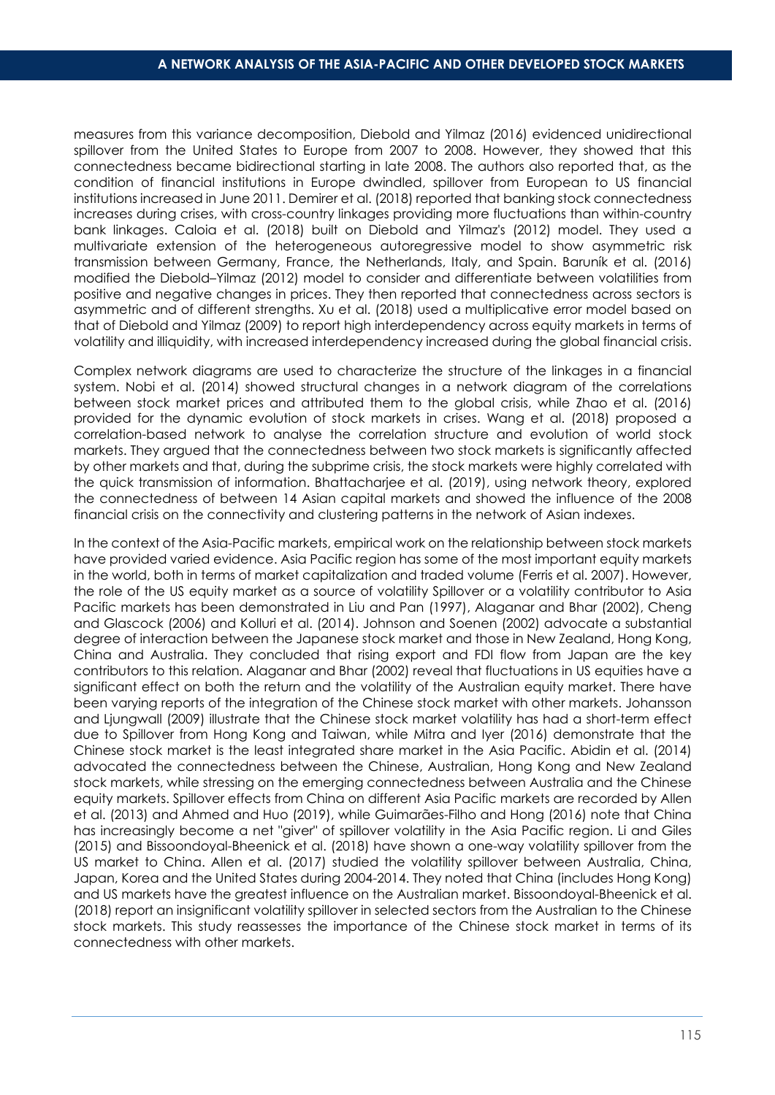measures from this variance decomposition, Diebold and Yilmaz (2016) evidenced unidirectional spillover from the United States to Europe from 2007 to 2008. However, they showed that this connectedness became bidirectional starting in late 2008. The authors also reported that, as the condition of financial institutions in Europe dwindled, spillover from European to US financial institutions increased in June 2011. Demirer et al. (2018) reported that banking stock connectedness increases during crises, with cross-country linkages providing more fluctuations than within-country bank linkages. Caloia et al. (2018) built on Diebold and Yilmaz's (2012) model. They used a multivariate extension of the heterogeneous autoregressive model to show asymmetric risk transmission between Germany, France, the Netherlands, Italy, and Spain. Baruník et al. (2016) modified the Diebold–Yilmaz (2012) model to consider and differentiate between volatilities from positive and negative changes in prices. They then reported that connectedness across sectors is asymmetric and of different strengths. Xu et al. (2018) used a multiplicative error model based on that of Diebold and Yilmaz (2009) to report high interdependency across equity markets in terms of volatility and illiquidity, with increased interdependency increased during the global financial crisis.

Complex network diagrams are used to characterize the structure of the linkages in a financial system. Nobi et al. (2014) showed structural changes in a network diagram of the correlations between stock market prices and attributed them to the global crisis, while Zhao et al. (2016) provided for the dynamic evolution of stock markets in crises. Wang et al. (2018) proposed a correlation-based network to analyse the correlation structure and evolution of world stock markets. They argued that the connectedness between two stock markets is significantly affected by other markets and that, during the subprime crisis, the stock markets were highly correlated with the quick transmission of information. Bhattacharjee et al. (2019), using network theory, explored the connectedness of between 14 Asian capital markets and showed the influence of the 2008 financial crisis on the connectivity and clustering patterns in the network of Asian indexes.

In the context of the Asia-Pacific markets, empirical work on the relationship between stock markets have provided varied evidence. Asia Pacific region has some of the most important equity markets in the world, both in terms of market capitalization and traded volume (Ferris et al. 2007). However, the role of the US equity market as a source of volatility Spillover or a volatility contributor to Asia Pacific markets has been demonstrated in Liu and Pan (1997), Alaganar and Bhar (2002), Cheng and Glascock (2006) and Kolluri et al. (2014). Johnson and Soenen (2002) advocate a substantial degree of interaction between the Japanese stock market and those in New Zealand, Hong Kong, China and Australia. They concluded that rising export and FDI flow from Japan are the key contributors to this relation. Alaganar and Bhar (2002) reveal that fluctuations in US equities have a significant effect on both the return and the volatility of the Australian equity market. There have been varying reports of the integration of the Chinese stock market with other markets. Johansson and Ljungwall (2009) illustrate that the Chinese stock market volatility has had a short-term effect due to Spillover from Hong Kong and Taiwan, while Mitra and Iyer (2016) demonstrate that the Chinese stock market is the least integrated share market in the Asia Pacific. Abidin et al. (2014) advocated the connectedness between the Chinese, Australian, Hong Kong and New Zealand stock markets, while stressing on the emerging connectedness between Australia and the Chinese equity markets. Spillover effects from China on different Asia Pacific markets are recorded by Allen et al. (2013) and Ahmed and Huo (2019), while Guimarães-Filho and Hong (2016) note that China has increasingly become a net "giver" of spillover volatility in the Asia Pacific region. Li and Giles (2015) and Bissoondoyal-Bheenick et al. (2018) have shown a one-way volatility spillover from the US market to China. Allen et al. (2017) studied the volatility spillover between Australia, China, Japan, Korea and the United States during 2004-2014. They noted that China (includes Hong Kong) and US markets have the greatest influence on the Australian market. Bissoondoyal-Bheenick et al. (2018) report an insignificant volatility spillover in selected sectors from the Australian to the Chinese stock markets. This study reassesses the importance of the Chinese stock market in terms of its connectedness with other markets.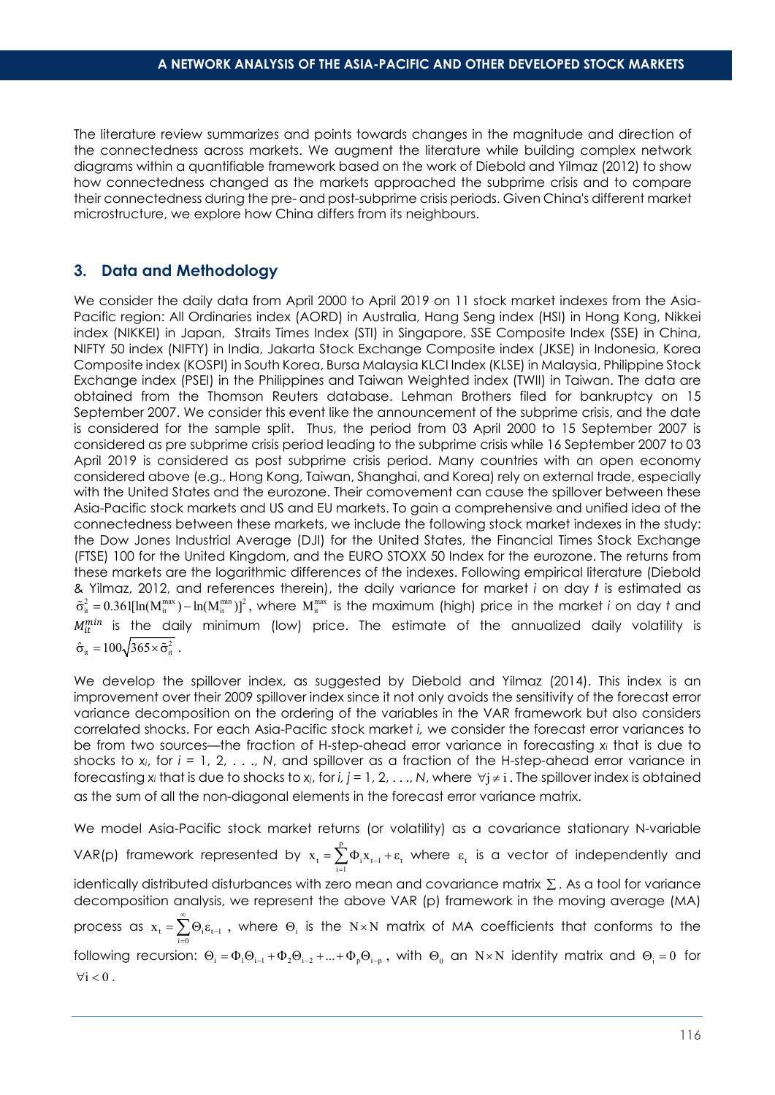The literature review summarizes and points towards changes in the magnitude and direction of the connectedness across markets. We augment the literature while building complex network diagrams within a quantifiable framework based on the work of Diebold and Yilmaz (2012) to show how connectedness changed as the markets approached the subprime crisis and to compare their connectedness during the pre- and post-subprime crisis periods. Given China's different market microstructure, we explore how China differs from its neighbours.

# **3. Data and Methodology**

We consider the daily data from April 2000 to April 2019 on 11 stock market indexes from the Asia-Pacific region: All Ordinaries index (AORD) in Australia, Hang Seng index (HSI) in Hong Kong, Nikkei index (NIKKEI) in Japan, Straits Times Index (STI) in Singapore, SSE Composite Index (SSE) in China, NIFTY 50 index (NIFTY) in India, Jakarta Stock Exchange Composite index (JKSE) in Indonesia, Korea Composite index (KOSPI) in South Korea, Bursa Malaysia KLCI Index (KLSE) in Malaysia, Philippine Stock Exchange index (PSEI) in the Philippines and Taiwan Weighted index (TWII) in Taiwan. The data are obtained from the Thomson Reuters database. Lehman Brothers filed for bankruptcy on 15 September 2007. We consider this event like the announcement of the subprime crisis, and the date is considered for the sample split. Thus, the period from 03 April 2000 to 15 September 2007 is considered as pre subprime crisis period leading to the subprime crisis while 16 September 2007 to 03 April 2019 is considered as post subprime crisis period. Many countries with an open economy considered above (e.g., Hong Kong, Taiwan, Shanghai, and Korea) rely on external trade, especially with the United States and the eurozone. Their comovement can cause the spillover between these Asia-Pacific stock markets and US and EU markets. To gain a comprehensive and unified idea of the connectedness between these markets, we include the following stock market indexes in the study: the Dow Jones Industrial Average (DJI) for the United States, the Financial Times Stock Exchange (FTSE) 100 for the United Kingdom, and the EURO STOXX 50 Index for the eurozone. The returns from these markets are the logarithmic differences of the indexes. Following empirical literature (Diebold & Yilmaz, 2012, and references therein), the daily variance for market *i* on day *t* is estimated as  $\tilde{\sigma}_{it}^2 = 0.361[\ln(M_{it}^{max}) - \ln(M_{it}^{min})]^2$ , where  $M_{it}^{max}$  is the maximum (high) price in the market *i* on day *t* and  $M_{it}^{mn}$  is the daily minimum (low) price. The estimate of the annualized daily volatility is  $\hat{\sigma}_{it} = 100\sqrt{365 \times \tilde{\sigma}_{it}^2}$ .

We develop the spillover index, as suggested by Diebold and Yilmaz (2014). This index is an improvement over their 2009 spillover index since it not only avoids the sensitivity of the forecast error variance decomposition on the ordering of the variables in the VAR framework but also considers correlated shocks. For each Asia-Pacific stock market *i,* we consider the forecast error variances to be from two sources—the fraction of H-step-ahead error variance in forecasting *x<sup>i</sup>* that is due to shocks to *xi*, for *i* = 1, 2, . . ., *N*, and spillover as a fraction of the H-step-ahead error variance in forecasting  $x_i$  that is due to shocks to  $x_i$ , for *i*,  $j = 1, 2, ..., N$ , where  $\forall i \neq i$ . The spillover index is obtained as the sum of all the non-diagonal elements in the forecast error variance matrix.

We model Asia-Pacific stock market returns (or volatility) as a covariance stationary N-variable VAR(p) framework represented by  $x_1 = \sum_{i=1}^{p} x_i$  $x_t = \sum_{i=1}^{t} \Phi_i x_{t-1} + \varepsilon_t$  where  $\varepsilon_t$  is a vector of independently and identically distributed disturbances with zero mean and covariance matrix ∑ . As a tool for variance decomposition analysis, we represent the above VAR (p) framework in the moving average (MA) process as  $x_t = \sum_{i=0}^{\infty} \Theta_i \varepsilon_{t-1}$  $x_t = \sum_{n=1}^{\infty}$  $=\sum_{i=0}^{\infty} \Theta_i \varepsilon_{t-1}$ , where  $\Theta_i$  is the N×N matrix of MA coefficients that conforms to the following recursion:  $\Theta_i = \Phi_1 \Theta_{i-1} + \Phi_2 \Theta_{i-2} + ... + \Phi_p \Theta_{i-p}$ , with  $\Theta_0$  an N×N identity matrix and  $\Theta_i = 0$  for  $\forall i < 0$ .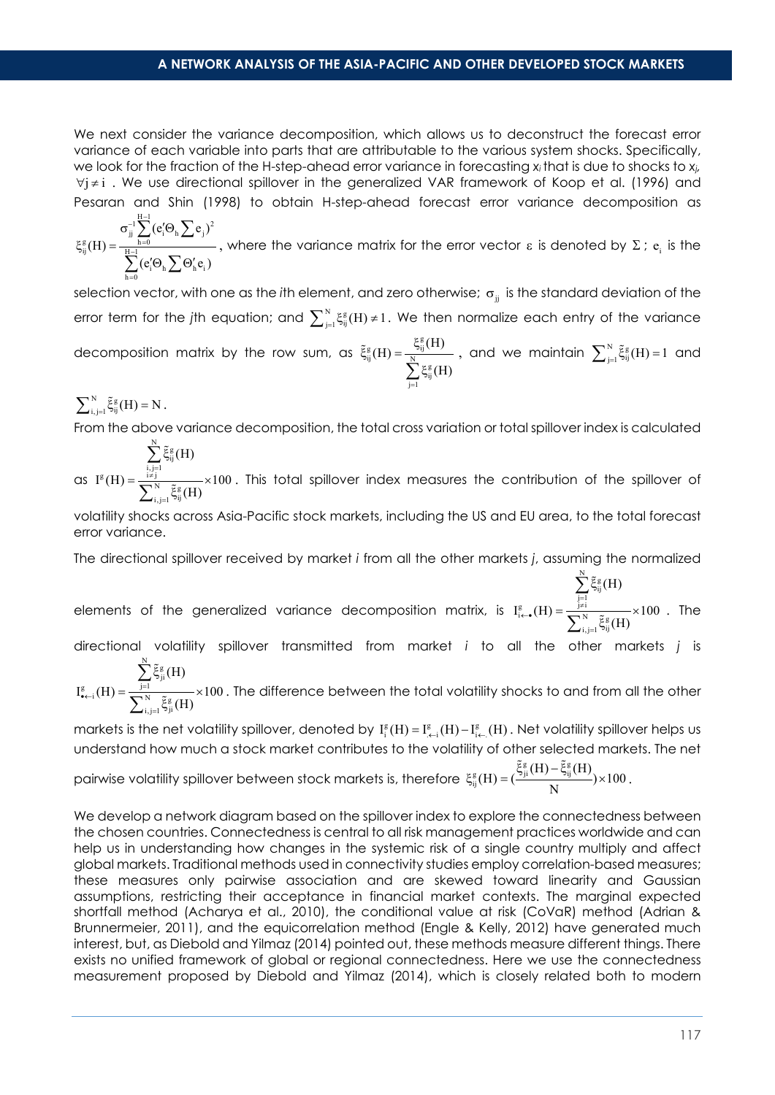We next consider the variance decomposition, which allows us to deconstruct the forecast error variance of each variable into parts that are attributable to the various system shocks. Specifically, we look for the fraction of the H-step-ahead error variance in forecasting *x<sup>i</sup>* that is due to shocks to *xj,*  $\forall i \neq i$ . We use directional spillover in the generalized VAR framework of Koop et al. (1996) and Pesaran and Shin (1998) to obtain H-step-ahead forecast error variance decomposition as

$$
\xi_{ij}^g(H)=\frac{\sigma_{jj}^{-1}\sum\limits_{h=0}^{H-1}(e_i'\Theta_h\sum e_j)^2}{\sum\limits_{h=0}^{H-1}(e_i'\Theta_h\sum\Theta_h'e_i)}, \text{ where the variance matrix for the error vector }\epsilon \text{ is denoted by }\Sigma \text{ ; } e_i \text{ is the}
$$

selection vector, with one as the *i*th element, and zero otherwise; σ<sub>ii</sub> is the standard deviation of the error term for the jth equation; and  $\sum_{j=1}^N \xi_{ij}^g(H) \neq 1.$  We then normalize each entry of the variance decomposition matrix by the row sum, as  $\zeta_{ij}^{\rm g}(\rm H) = \frac{\xi_{ij}^{\rm g}(\chi_{ij})}{\displaystyle\sum_{j=1}^N \xi_{ij}^{\rm g}}$  $(H) = \frac{\xi_{ij}^{g}(H)}{N}$ (H)  $\tilde{\xi}^{\rm g}_{\rm ii}(\rm H) = \frac{\xi}{\sqrt{N}}$ ∑<sup>ξ</sup>  $\tilde{\xi}^g_{ij}(H)$  =  $\frac{S_{ij}(11)}{N}$  , and we maintain  $\sum_{j=1}^N \tilde{\xi}^g_{ij}(H)$  = 1 and

N g  $\sum_{i,j=1}^{N} \tilde{\xi}_{ij}^{g}(H) = N$ .

تح

From the above variance decomposition, the total cross variation or total spillover index is calculated

=

as  $\sum_{i,j=1}^{N} \tilde{\xi}_{ij}^g$ g  $\sum_{i \neq j}$ N g  $_{\rm i,\, j=1}$ لاف (H)  $I^{g}(H) = \frac{I^{g}}{I^{g}} \frac{1}{2} \times 100$ (H) , j=<br>≠ j = ξ  $=\frac{1\neq j}{\sqrt{N}}$   $\times$ ξ ∑ ∑  $\frac{1}{\tilde{\epsilon} \tilde{\epsilon}(\text{H})} \times 100$  . This total spillover index measures the contribution of the spillover of

volatility shocks across Asia-Pacific stock markets, including the US and EU area, to the total forecast error variance.

The directional spillover received by market *i* from all the other markets *j*, assuming the normalized

elements of the generalized variance decomposition matrix, is  $\sum_{\substack{j=1 \ i \in \bullet}}^N \tilde{\xi}_{ij}^g$  (H) =  $\frac{\sum_{\substack{j=1 \ j \neq i}}^N \tilde{\xi}_{ij}^g}{\sum_{\substack{N}}^N \tilde{\xi}_{ij}^g}$  $_{i,j=1}$  نا $_{ij}$ (H)  $I_{i\leftarrow \bullet}^g(H) = \frac{J^{\neq 1}}{I_{i\leftarrow N}^N} \times 100$ (H)  $\sum_{\epsilon=0}^{\frac{1}{2}} (H) = \frac{\sum_{j=0}^{\frac{1}{2}}}{\sqrt{2\pi i}}$ = ξ  $=\frac{1}{2}$   $\frac{1}{2}$   $\frac{1}{2}$   $\frac{1}{2}$   $\frac{1}{2}$   $\frac{1}{2}$   $\frac{1}{2}$ ξ ∑ ∑  $\frac{1}{\tilde{E}^g(H)} \times 100$ . The

directional volatility spillover transmitted from market *i* to all the other markets *j* is (H) ξ ∑ تع

 $\sum_{i=1}^{g} \tilde{\xi}_{ji}^{g}$  (H) =  $\frac{\sum_{j=1}^{N} \tilde{\xi}_{ji}^{g}}{\sum_{j=1}^{N} \tilde{\xi}_{ji}^{g}}$  $_{\rm i,\, j=1}$  نو $_{\rm ji}$  $I_{\bullet \leftarrow i}^{g}(H) = \frac{J=1}{\bullet N} \times 100$ (H)  $\frac{g}{\bullet \left( H \right)} = \frac{j}{\bullet \bullet}$ =  $=\frac{1}{\sqrt{N}}\times\frac{1}{\sqrt{N}}$ ξ ∑  $\frac{1}{\tilde{\epsilon} \tilde{\epsilon}_{\tilde{\epsilon}}(H)} \times 100$  . The difference between the total volatility shocks to and from all the other

markets is the net volatility spillover, denoted by  $I^g_i(H) = I^g_{\leftarrow i}(H) - I^g_{\leftarrow}(H)$  . Net volatility spillover helps us understand how much a stock market contributes to the volatility of other selected markets. The net pairwise volatility spillover between stock markets is, therefore  $\zeta_{ij}^{\rm g}(\mathrm{H}) = (\frac{\tilde{\xi}_{ji}^{\rm g}(\mathrm{H}) - \tilde{\xi}_{ij}^{\rm g}}{\mathbf{M}})$  $(H) = (\frac{\xi_{ji}^g(H) - \xi_{ij}^g(H)}{N}) \times 100$  $\xi_{ii}^{g}(H) = (\frac{\xi_{ji}^{g}(H) - \xi_{ij}^{g}(H)}{\xi_{ii}^{g}(H)}) \times$ م<br>14) - گ .

We develop a network diagram based on the spillover index to explore the connectedness between the chosen countries. Connectedness is central to all risk management practices worldwide and can help us in understanding how changes in the systemic risk of a single country multiply and affect global markets. Traditional methods used in connectivity studies employ correlation-based measures; these measures only pairwise association and are skewed toward linearity and Gaussian assumptions, restricting their acceptance in financial market contexts. The marginal expected shortfall method (Acharya et al., 2010), the conditional value at risk (CoVaR) method (Adrian & Brunnermeier, 2011), and the equicorrelation method (Engle & Kelly, 2012) have generated much interest, but, as Diebold and Yilmaz (2014) pointed out, these methods measure different things. There exists no unified framework of global or regional connectedness. Here we use the connectedness measurement proposed by Diebold and Yilmaz (2014), which is closely related both to modern

تع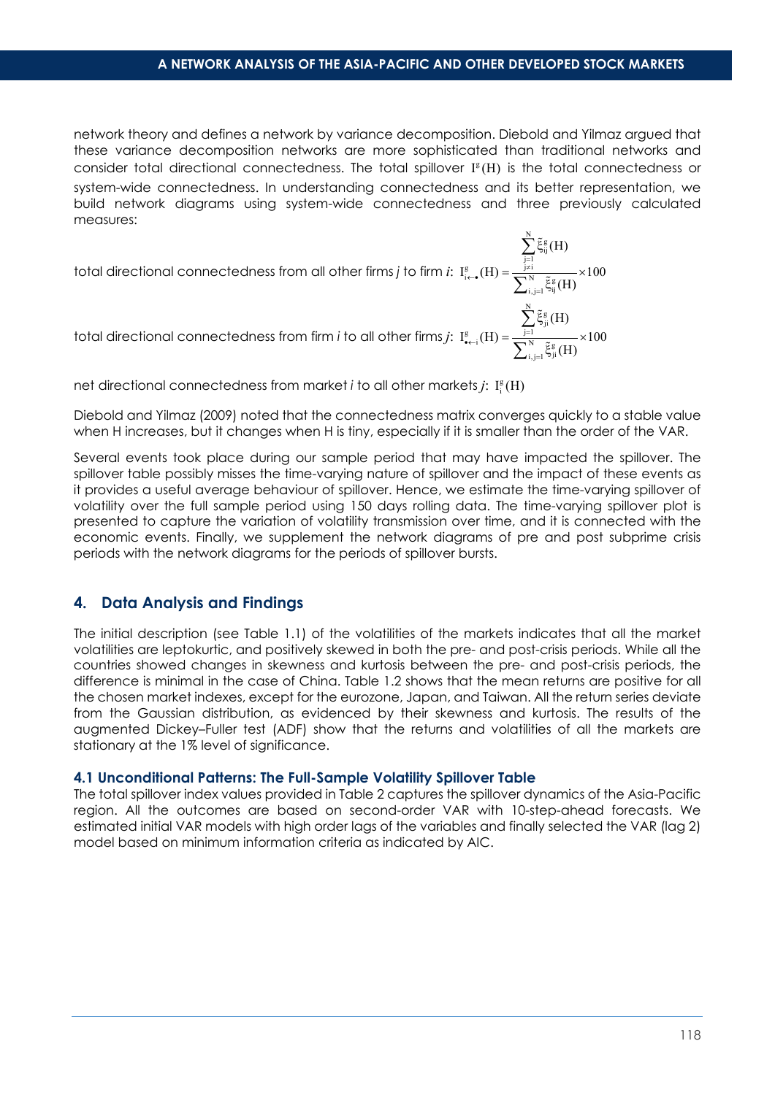$_{\rm i,\, j=1}$  نام $_{\rm ij}$ 

ξ

تع

=

تع

ξ

تع

∑

∑

(H)

(H)

network theory and defines a network by variance decomposition. Diebold and Yilmaz argued that these variance decomposition networks are more sophisticated than traditional networks and consider total directional connectedness. The total spillover  $I^{g}(H)$  is the total connectedness or system-wide connectedness. In understanding connectedness and its better representation, we build network diagrams using system-wide connectedness and three previously calculated measures:

total directional connectedness from all other firms *j* to firm *i*:  $\sum_{\substack{j=1 \ i \in \bullet}}^N \tilde{\xi}_{ij}^g$  (H) =  $\frac{\sum_{\substack{j=1 \ j \neq i}}^N \tilde{\xi}_{ij}^g}{\sum_{\substack{N}}^N \tilde{\xi}_{ij}^g}$  $I_{i\leftarrow \bullet}^g(H) = \frac{J^{\neq 1}}{I_{i\leftarrow \bullet} N} \times 100$  $\sum_{\epsilon=0}^{3}$  (H) =  $\frac{1}{\sqrt{2}}$  $=\frac{1}{2}$   $\times$ 

total directional connectedness from firm *i* to all other firms *j*:  $\sum_{i=1}^{g} \widetilde{\xi}_{ji}^{g}$  (H) =  $\frac{\displaystyle\sum_{j=1}^{N} \widetilde{\xi}_{ji}^{g}}{\displaystyle\sum_{i=1}^{N} \widetilde{\xi}_{ji}^{g}}$  $_{\rm i,\, j=1}$ از  $_{\rm ji}$ (H)  $I_{\bullet \leftarrow i}^{g}(H) = \frac{I_{\bullet}^{g}}{I_{\bullet}^{g}} \times 100$ (H)  $\frac{g}{\bullet \left( H \right)} = \frac{f}{\bullet \bullet}$ = ξ  $=\frac{1}{\sqrt{N}}\frac{1}{\alpha}$  x ξ ∑ ∑ تع

net directional connectedness from market  $i$  to all other markets  $j$ :  $\mathbf{I}^{\mathrm{g}}_{\mathrm{i}}(\mathrm{H})$ 

Diebold and Yilmaz (2009) noted that the connectedness matrix converges quickly to a stable value when H increases, but it changes when H is tiny, especially if it is smaller than the order of the VAR.

Several events took place during our sample period that may have impacted the spillover. The spillover table possibly misses the time-varying nature of spillover and the impact of these events as it provides a useful average behaviour of spillover. Hence, we estimate the time-varying spillover of volatility over the full sample period using 150 days rolling data. The time-varying spillover plot is presented to capture the variation of volatility transmission over time, and it is connected with the economic events. Finally, we supplement the network diagrams of pre and post subprime crisis periods with the network diagrams for the periods of spillover bursts.

#### **4. Data Analysis and Findings**

The initial description (see Table 1.1) of the volatilities of the markets indicates that all the market volatilities are leptokurtic, and positively skewed in both the pre- and post-crisis periods. While all the countries showed changes in skewness and kurtosis between the pre- and post-crisis periods, the difference is minimal in the case of China. Table 1.2 shows that the mean returns are positive for all the chosen market indexes, except for the eurozone, Japan, and Taiwan. All the return series deviate from the Gaussian distribution, as evidenced by their skewness and kurtosis. The results of the augmented Dickey–Fuller test (ADF) show that the returns and volatilities of all the markets are stationary at the 1% level of significance.

#### **4.1 Unconditional Patterns: The Full-Sample Volatility Spillover Table**

The total spillover index values provided in Table 2 captures the spillover dynamics of the Asia-Pacific region. All the outcomes are based on second-order VAR with 10-step-ahead forecasts. We estimated initial VAR models with high order lags of the variables and finally selected the VAR (lag 2) model based on minimum information criteria as indicated by AIC.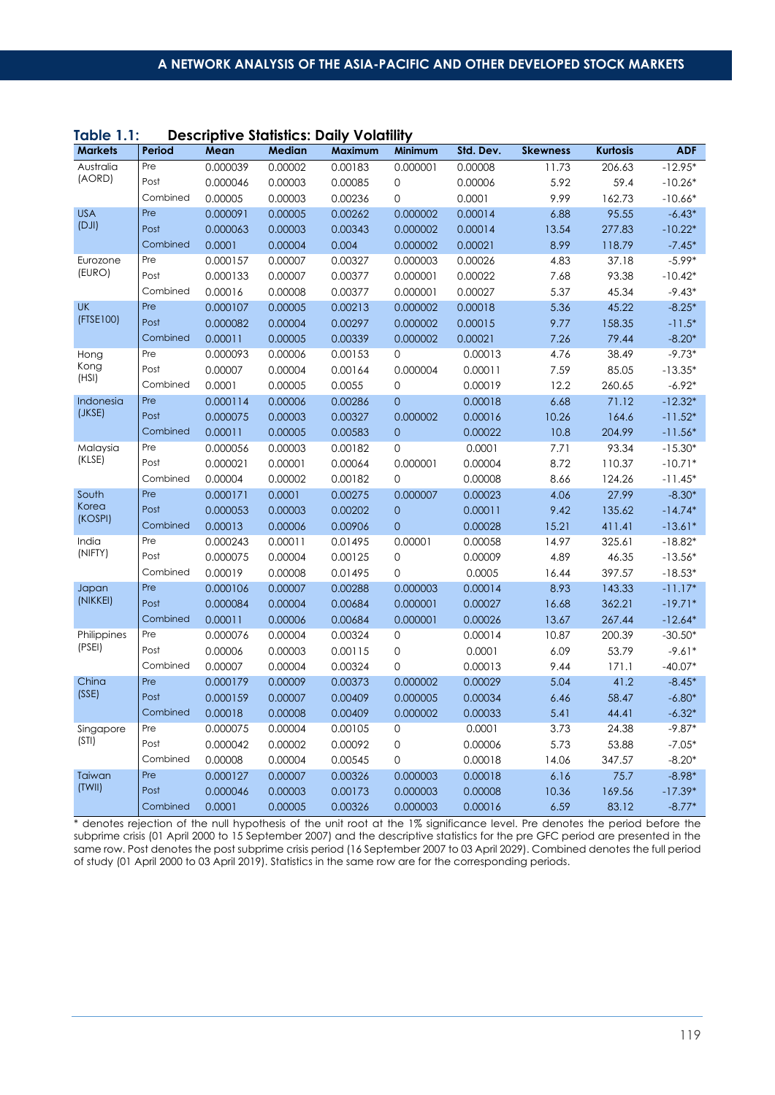| .              | -----    |          | JIITU JIWIIJIIUJ, PWII | $\sqrt{2}$ |                |           |                 |                 |            |
|----------------|----------|----------|------------------------|------------|----------------|-----------|-----------------|-----------------|------------|
| <b>Markets</b> | Period   | Mean     | <b>Median</b>          | Maximum    | Minimum        | Std. Dev. | <b>Skewness</b> | <b>Kurtosis</b> | <b>ADF</b> |
| Australia      | Pre      | 0.000039 | 0.00002                | 0.00183    | 0.000001       | 0.00008   | 11.73           | 206.63          | $-12.95*$  |
| (AORD)         | Post     | 0.000046 | 0.00003                | 0.00085    | 0              | 0.00006   | 5.92            | 59.4            | $-10.26*$  |
|                | Combined | 0.00005  | 0.00003                | 0.00236    | 0              | 0.0001    | 9.99            | 162.73          | $-10.66*$  |
| <b>USA</b>     | Pre      | 0.000091 | 0.00005                | 0.00262    | 0.000002       | 0.00014   | 6.88            | 95.55           | $-6.43*$   |
| (DJI)          | Post     | 0.000063 | 0.00003                | 0.00343    | 0.000002       | 0.00014   | 13.54           | 277.83          | $-10.22*$  |
|                | Combined | 0.0001   | 0.00004                | 0.004      | 0.000002       | 0.00021   | 8.99            | 118.79          | $-7.45*$   |
| Eurozone       | Pre      | 0.000157 | 0.00007                | 0.00327    | 0.000003       | 0.00026   | 4.83            | 37.18           | $-5.99*$   |
| (EURO)         | Post     | 0.000133 | 0.00007                | 0.00377    | 0.000001       | 0.00022   | 7.68            | 93.38           | $-10.42*$  |
|                | Combined | 0.00016  | 0.00008                | 0.00377    | 0.000001       | 0.00027   | 5.37            | 45.34           | $-9.43*$   |
| UK             | Pre      | 0.000107 | 0.00005                | 0.00213    | 0.000002       | 0.00018   | 5.36            | 45.22           | $-8.25*$   |
| (FTSE100)      | Post     | 0.000082 | 0.00004                | 0.00297    | 0.000002       | 0.00015   | 9.77            | 158.35          | $-11.5*$   |
|                | Combined | 0.00011  | 0.00005                | 0.00339    | 0.000002       | 0.00021   | 7.26            | 79.44           | $-8.20*$   |
| Hong           | Pre      | 0.000093 | 0.00006                | 0.00153    | 0              | 0.00013   | 4.76            | 38.49           | $-9.73*$   |
| Kong           | Post     | 0.00007  | 0.00004                | 0.00164    | 0.000004       | 0.00011   | 7.59            | 85.05           | $-13.35*$  |
| (HSI)          | Combined | 0.0001   | 0.00005                | 0.0055     | $\mathbf{O}$   | 0.00019   | 12.2            | 260.65          | $-6.92*$   |
| Indonesia      | Pre      | 0.000114 | 0.00006                | 0.00286    | $\overline{0}$ | 0.00018   | 6.68            | 71.12           | $-12.32*$  |
| (JKSE)         | Post     | 0.000075 | 0.00003                | 0.00327    | 0.000002       | 0.00016   | 10.26           | 164.6           | $-11.52*$  |
|                | Combined | 0.00011  | 0.00005                | 0.00583    | $\overline{0}$ | 0.00022   | 10.8            | 204.99          | $-11.56*$  |
| Malaysia       | Pre      | 0.000056 | 0.00003                | 0.00182    | 0              | 0.0001    | 7.71            | 93.34           | $-15.30*$  |
| (KLSE)         | Post     | 0.000021 | 0.00001                | 0.00064    | 0.000001       | 0.00004   | 8.72            | 110.37          | $-10.71*$  |
|                | Combined | 0.00004  | 0.00002                | 0.00182    | 0              | 0.00008   | 8.66            | 124.26          | $-11.45*$  |
| South<br>Korea | Pre      | 0.000171 | 0.0001                 | 0.00275    | 0.000007       | 0.00023   | 4.06            | 27.99           | $-8.30*$   |
|                | Post     | 0.000053 | 0.00003                | 0.00202    | $\overline{0}$ | 0.00011   | 9.42            | 135.62          | $-14.74*$  |
| (KOSPI)        | Combined | 0.00013  | 0.00006                | 0.00906    | $\overline{0}$ | 0.00028   | 15.21           | 411.41          | $-13.61*$  |
| India          | Pre      | 0.000243 | 0.00011                | 0.01495    | 0.00001        | 0.00058   | 14.97           | 325.61          | $-18.82*$  |
| (NIFTY)        | Post     | 0.000075 | 0.00004                | 0.00125    | 0              | 0.00009   | 4.89            | 46.35           | $-13.56*$  |
|                | Combined | 0.00019  | 0.00008                | 0.01495    | 0              | 0.0005    | 16.44           | 397.57          | $-18.53*$  |
| Japan          | Pre      | 0.000106 | 0.00007                | 0.00288    | 0.000003       | 0.00014   | 8.93            | 143.33          | $-11.17*$  |
| (NIKKEI)       | Post     | 0.000084 | 0.00004                | 0.00684    | 0.000001       | 0.00027   | 16.68           | 362.21          | $-19.71*$  |
|                | Combined | 0.00011  | 0.00006                | 0.00684    | 0.000001       | 0.00026   | 13.67           | 267.44          | $-12.64*$  |
| Philippines    | Pre      | 0.000076 | 0.00004                | 0.00324    | $\mathbf 0$    | 0.00014   | 10.87           | 200.39          | $-30.50*$  |
| (PSEI)         | Post     | 0.00006  | 0.00003                | 0.00115    | $\mathbf 0$    | 0.0001    | 6.09            | 53.79           | $-9.61*$   |
|                | Combined | 0.00007  | 0.00004                | 0.00324    | 0              | 0.00013   | 9.44            | 171.1           | $-40.07*$  |
| China          | Pre      | 0.000179 | 0.00009                | 0.00373    | 0.000002       | 0.00029   | 5.04            | 41.2            | $-8.45*$   |
| (SSE)          | Post     | 0.000159 | 0.00007                | 0.00409    | 0.000005       | 0.00034   | 6.46            | 58.47           | $-6.80*$   |
|                | Combined | 0.00018  | 0.00008                | 0.00409    | 0.000002       | 0.00033   | 5.41            | 44.41           | $-6.32*$   |
| Singapore      | Pre      | 0.000075 | 0.00004                | 0.00105    | $\mathbf 0$    | 0.0001    | 3.73            | 24.38           | $-9.87*$   |
| (STI)          | Post     | 0.000042 | 0.00002                | 0.00092    | 0              | 0.00006   | 5.73            | 53.88           | $-7.05*$   |
|                | Combined | 0.00008  | 0.00004                | 0.00545    | 0              | 0.00018   | 14.06           | 347.57          | $-8.20*$   |
| Taiwan         | Pre      | 0.000127 | 0.00007                | 0.00326    | 0.000003       | 0.00018   | 6.16            | 75.7            | $-8.98*$   |
| (TWII)         | Post     | 0.000046 | 0.00003                | 0.00173    | 0.000003       | 0.00008   | 10.36           | 169.56          | $-17.39*$  |
|                | Combined | 0.0001   | 0.00005                | 0.00326    | 0.000003       | 0.00016   | 6.59            | 83.12           | $-8.77*$   |

#### **Table 1.1: Descriptive Statistics: Daily Volatility**

\* denotes rejection of the null hypothesis of the unit root at the 1% significance level. Pre denotes the period before the subprime crisis (01 April 2000 to 15 September 2007) and the descriptive statistics for the pre GFC period are presented in the same row. Post denotes the post subprime crisis period (16 September 2007 to 03 April 2029). Combined denotes the full period of study (01 April 2000 to 03 April 2019). Statistics in the same row are for the corresponding periods.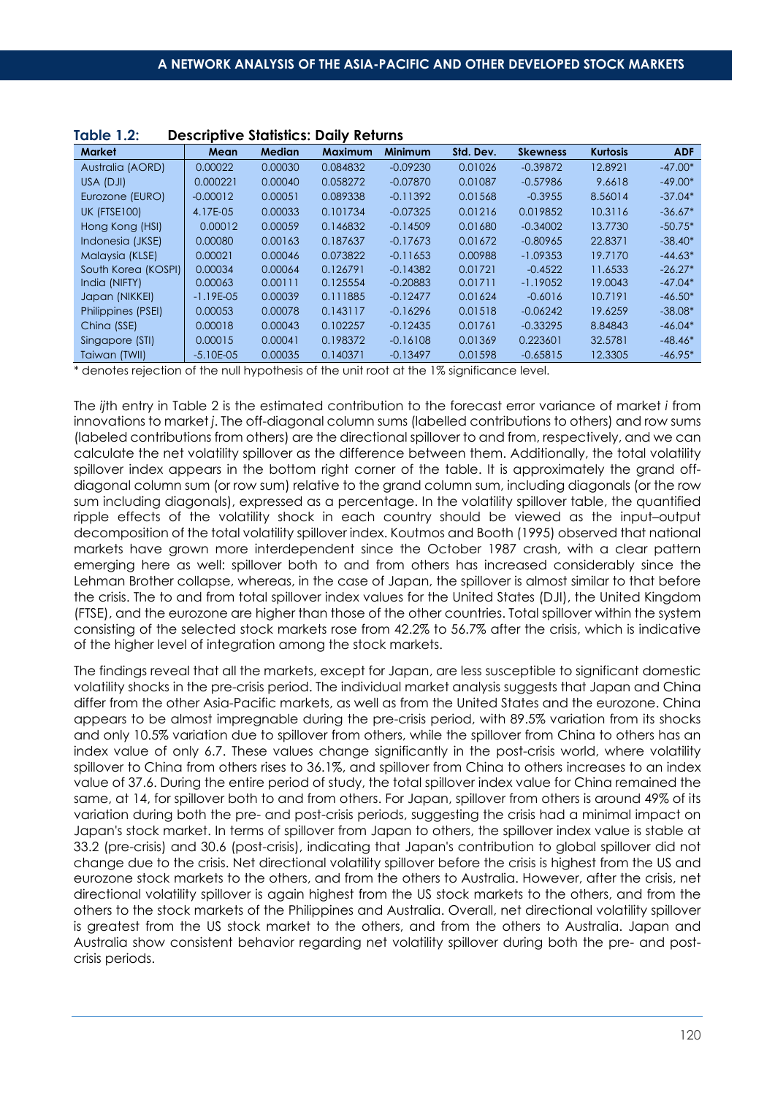| <b>Market</b>       | Mean        | <b>Median</b> | <b>Maximum</b> | <b>Minimum</b> | Std. Dev. | <b>Skewness</b> | <b>Kurtosis</b> | <b>ADF</b> |
|---------------------|-------------|---------------|----------------|----------------|-----------|-----------------|-----------------|------------|
| Australia (AORD)    | 0.00022     | 0.00030       | 0.084832       | $-0.09230$     | 0.01026   | $-0.39872$      | 12.8921         | $-47.00*$  |
| USA (DJI)           | 0.000221    | 0.00040       | 0.058272       | $-0.07870$     | 0.01087   | $-0.57986$      | 9.6618          | $-49.00*$  |
| Eurozone (EURO)     | $-0.00012$  | 0.00051       | 0.089338       | $-0.11392$     | 0.01568   | $-0.3955$       | 8.56014         | $-37.04*$  |
| <b>UK (FTSE100)</b> | 4.17E-05    | 0.00033       | 0.101734       | $-0.07325$     | 0.01216   | 0.019852        | 10.3116         | $-36.67*$  |
| Hong Kong (HSI)     | 0.00012     | 0.00059       | 0.146832       | $-0.14509$     | 0.01680   | $-0.34002$      | 13.7730         | $-50.75*$  |
| Indonesia (JKSE)    | 0.00080     | 0.00163       | 0.187637       | $-0.17673$     | 0.01672   | $-0.80965$      | 22.8371         | $-38.40*$  |
| Malaysia (KLSE)     | 0.00021     | 0.00046       | 0.073822       | $-0.11653$     | 0.00988   | $-1.09353$      | 19.7170         | $-44.63*$  |
| South Korea (KOSPI) | 0.00034     | 0.00064       | 0.126791       | $-0.14382$     | 0.01721   | $-0.4522$       | 11.6533         | $-26.27*$  |
| India (NIFTY)       | 0.00063     | 0.00111       | 0.125554       | $-0.20883$     | 0.01711   | $-1.19052$      | 19.0043         | $-47.04*$  |
| Japan (NIKKEI)      | $-1.19E-05$ | 0.00039       | 0.111885       | $-0.12477$     | 0.01624   | $-0.6016$       | 10.7191         | $-46.50*$  |
| Philippines (PSEI)  | 0.00053     | 0.00078       | 0.143117       | $-0.16296$     | 0.01518   | $-0.06242$      | 19.6259         | $-38.08*$  |
| China (SSE)         | 0.00018     | 0.00043       | 0.102257       | $-0.12435$     | 0.01761   | $-0.33295$      | 8.84843         | $-46.04*$  |
| Singapore (STI)     | 0.00015     | 0.00041       | 0.198372       | $-0.16108$     | 0.01369   | 0.223601        | 32.5781         | $-48.46*$  |
| Taiwan (TWII)       | $-5.10E-05$ | 0.00035       | 0.140371       | $-0.13497$     | 0.01598   | $-0.65815$      | 12.3305         | $-46.95*$  |

| <b>Table 1.2:</b> | <b>Descriptive Statistics: Daily Returns</b> |  |  |  |
|-------------------|----------------------------------------------|--|--|--|
|-------------------|----------------------------------------------|--|--|--|

\* denotes rejection of the null hypothesis of the unit root at the 1% significance level.

The *ij*th entry in Table 2 is the estimated contribution to the forecast error variance of market *i* from innovations to market *j*. The off-diagonal column sums (labelled contributions to others) and row sums (labeled contributions from others) are the directional spillover to and from, respectively, and we can calculate the net volatility spillover as the difference between them. Additionally, the total volatility spillover index appears in the bottom right corner of the table. It is approximately the grand offdiagonal column sum (or row sum) relative to the grand column sum, including diagonals (or the row sum including diagonals), expressed as a percentage. In the volatility spillover table, the quantified ripple effects of the volatility shock in each country should be viewed as the input–output decomposition of the total volatility spillover index. Koutmos and Booth (1995) observed that national markets have grown more interdependent since the October 1987 crash, with a clear pattern emerging here as well: spillover both to and from others has increased considerably since the Lehman Brother collapse, whereas, in the case of Japan, the spillover is almost similar to that before the crisis. The to and from total spillover index values for the United States (DJI), the United Kingdom (FTSE), and the eurozone are higher than those of the other countries. Total spillover within the system consisting of the selected stock markets rose from 42.2% to 56.7% after the crisis, which is indicative of the higher level of integration among the stock markets.

The findings reveal that all the markets, except for Japan, are less susceptible to significant domestic volatility shocks in the pre-crisis period. The individual market analysis suggests that Japan and China differ from the other Asia-Pacific markets, as well as from the United States and the eurozone. China appears to be almost impregnable during the pre-crisis period, with 89.5% variation from its shocks and only 10.5% variation due to spillover from others, while the spillover from China to others has an index value of only 6.7. These values change significantly in the post-crisis world, where volatility spillover to China from others rises to 36.1%, and spillover from China to others increases to an index value of 37.6. During the entire period of study, the total spillover index value for China remained the same, at 14, for spillover both to and from others. For Japan, spillover from others is around 49% of its variation during both the pre- and post-crisis periods, suggesting the crisis had a minimal impact on Japan's stock market. In terms of spillover from Japan to others, the spillover index value is stable at 33.2 (pre-crisis) and 30.6 (post-crisis), indicating that Japan's contribution to global spillover did not change due to the crisis. Net directional volatility spillover before the crisis is highest from the US and eurozone stock markets to the others, and from the others to Australia. However, after the crisis, net directional volatility spillover is again highest from the US stock markets to the others, and from the others to the stock markets of the Philippines and Australia. Overall, net directional volatility spillover is greatest from the US stock market to the others, and from the others to Australia. Japan and Australia show consistent behavior regarding net volatility spillover during both the pre- and postcrisis periods.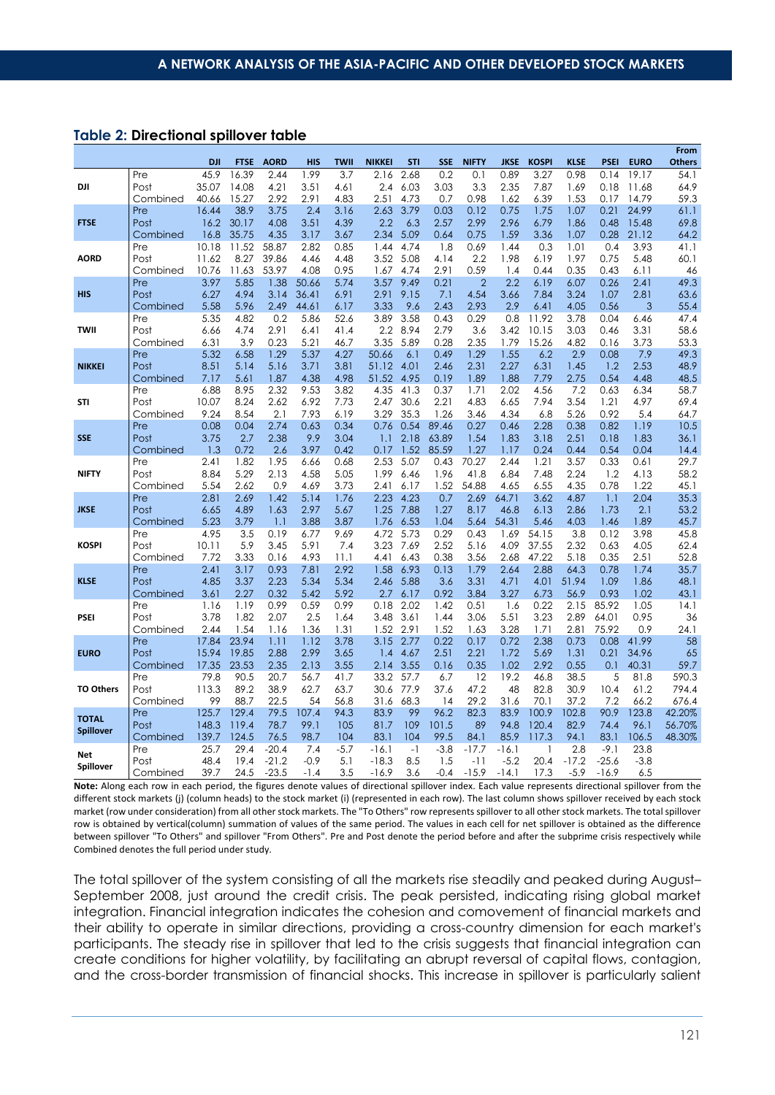#### **Table 2: Directional spillover table**

|                  |                  |              |                |              |              |              |                  |              |              |                |               |              |              |              |                | From          |
|------------------|------------------|--------------|----------------|--------------|--------------|--------------|------------------|--------------|--------------|----------------|---------------|--------------|--------------|--------------|----------------|---------------|
|                  |                  | <b>DJI</b>   | <b>FTSE</b>    | <b>AORD</b>  | <b>HIS</b>   | <b>TWII</b>  | <b>NIKKEI</b>    | <b>STI</b>   | <b>SSE</b>   | <b>NIFTY</b>   | <b>JKSE</b>   | <b>KOSPI</b> | <b>KLSE</b>  | <b>PSEI</b>  | <b>EURO</b>    | <b>Others</b> |
|                  | Pre              | 45.9         | 16.39          | 2.44         | 1.99         | 3.7          | 2.16             | 2.68         | 0.2          | 0.1            | 0.89          | 3.27         | 0.98         | 0.14         | 19.17          | 54.1          |
| DJI              | Post             | 35.07        | 14.08          | 4.21         | 3.51         | 4.61         | 2.4              | 6.03         | 3.03         | 3.3            | 2.35          | 7.87         | 1.69         | 0.18         | 11.68          | 64.9          |
|                  | Combined         | 40.66        | 15.27          | 2.92         | 2.91         | 4.83         | 2.51             | 4.73         | 0.7          | 0.98           | 1.62          | 6.39         | 1.53         | 0.17         | 14.79          | 59.3          |
| <b>FTSE</b>      | Pre              | 16.44        | 38.9           | 3.75         | 2.4          | 3.16         | 2.63             | 3.79         | 0.03         | 0.12           | 0.75          | 1.75         | 1.07         | 0.21         | 24.99          | 61.1          |
|                  | Post<br>Combined | 16.2<br>16.8 | 30.17<br>35.75 | 4.08<br>4.35 | 3.51<br>3.17 | 4.39<br>3.67 | 2.2<br>2.34      | 6.3<br>5.09  | 2.57<br>0.64 | 2.99<br>0.75   | 2.96<br>1.59  | 6.79<br>3.36 | 1.86<br>1.07 | 0.48<br>0.28 | 15.48<br>21.12 | 69.8<br>64.2  |
|                  | Pre              | 10.18        | 11.52          | 58.87        | 2.82         | 0.85         | 1.44             | 4.74         | 1.8          | 0.69           | 1.44          | 0.3          | 1.01         | 0.4          | 3.93           | 41.1          |
| <b>AORD</b>      | Post             | 11.62        | 8.27           | 39.86        | 4.46         | 4.48         | 3.52             | 5.08         | 4.14         | 2.2            | 1.98          | 6.19         | 1.97         | 0.75         | 5.48           | 60.1          |
|                  | Combined         | 10.76        | 11.63          | 53.97        | 4.08         | 0.95         | 1.67             | 4.74         | 2.91         | 0.59           | 1.4           | 0.44         | 0.35         | 0.43         | 6.11           | 46            |
|                  | Pre              | 3.97         | 5.85           | 1.38         | 50.66        | 5.74         | 3.57             | 9.49         | 0.21         | $\overline{2}$ | 2.2           | 6.19         | 6.07         | 0.26         | 2.41           | 49.3          |
| <b>HIS</b>       | Post             | 6.27         | 4.94           | 3.14         | 36.41        | 6.91         | 2.91             | 9.15         | 7.1          | 4.54           | 3.66          | 7.84         | 3.24         | 1.07         | 2.81           | 63.6          |
|                  | Combined         | 5.58         | 5.96           | 2.49         | 44.61        | 6.17         | 3.33             | 9.6          | 2.43         | 2.93           | 2.9           | 6.41         | 4.05         | 0.56         | 3              | 55.4          |
|                  | Pre              | 5.35         | 4.82           | 0.2          | 5.86         | 52.6         | 3.89             | 3.58         | 0.43         | 0.29           | 0.8           | 11.92        | 3.78         | 0.04         | 6.46           | 47.4          |
| TWII             | Post             | 6.66         | 4.74           | 2.91         | 6.41         | 41.4         | $2.2\phantom{0}$ | 8.94         | 2.79         | 3.6            | 3.42          | 10.15        | 3.03         | 0.46         | 3.31           | 58.6          |
|                  | Combined         | 6.31         | 3.9            | 0.23         | 5.21         | 46.7         | 3.35             | 5.89         | 0.28         | 2.35           | 1.79          | 15.26        | 4.82         | 0.16         | 3.73           | 53.3          |
|                  | Pre              | 5.32         | 6.58           | 1.29         | 5.37         | 4.27         | 50.66            | 6.1          | 0.49         | 1.29           | 1.55          | 6.2          | 2.9          | 0.08         | 7.9            | 49.3          |
| <b>NIKKEI</b>    | Post             | 8.51         | 5.14           | 5.16         | 3.71         | 3.81         | 51.12            | 4.01         | 2.46         | 2.31           | 2.27          | 6.31         | 1.45         | 1.2          | 2.53           | 48.9          |
|                  | Combined         | 7.17         | 5.61           | 1.87         | 4.38         | 4.98         | 51.52            | 4.95         | 0.19         | 1.89           | 1.88          | 7.79         | 2.75         | 0.54         | 4.48           | 48.5          |
|                  | Pre              | 6.88         | 8.95           | 2.32         | 9.53         | 3.82         | 4.35             | 41.3         | 0.37         | 1.71           | 2.02          | 4.56         | 7.2          | 0.63         | 6.34           | 58.7          |
| <b>STI</b>       | Post             | 10.07        | 8.24           | 2.62         | 6.92         | 7.73         | 2.47             | 30.6         | 2.21         | 4.83           | 6.65          | 7.94         | 3.54         | 1.21         | 4.97           | 69.4          |
|                  | Combined         | 9.24         | 8.54           | 2.1          | 7.93         | 6.19         | 3.29             | 35.3         | 1.26         | 3.46           | 4.34          | 6.8          | 5.26         | 0.92         | 5.4            | 64.7          |
|                  | Pre              | 0.08         | 0.04           | 2.74         | 0.63         | 0.34         | 0.76             | 0.54         | 89.46        | 0.27           | 0.46          | 2.28         | 0.38         | 0.82         | 1.19           | 10.5          |
| <b>SSE</b>       | Post             | 3.75         | 2.7            | 2.38         | 9.9          | 3.04         | 1.1              | 2.18         | 63.89        | 1.54           | 1.83          | 3.18         | 2.51         | 0.18         | 1.83           | 36.1          |
|                  | Combined         | 1.3          | 0.72           | 2.6          | 3.97         | 0.42         | 0.17             | 1.52         | 85.59        | 1.27           | 1.17          | 0.24         | 0.44         | 0.54         | 0.04           | 14.4          |
|                  | Pre              | 2.41         | 1.82           | 1.95         | 6.66         | 0.68         | 2.53             | 5.07         | 0.43         | 70.27          | 2.44          | 1.21         | 3.57         | 0.33         | 0.61           | 29.7          |
| <b>NIFTY</b>     | Post             | 8.84         | 5.29           | 2.13         | 4.58         | 5.05         | 1.99             | 6.46         | 1.96         | 41.8           | 6.84          | 7.48         | 2.24         | 1.2          | 4.13           | 58.2          |
|                  | Combined         | 5.54         | 2.62           | 0.9          | 4.69         | 3.73         | 2.41             | 6.17         | 1.52         | 54.88          | 4.65          | 6.55         | 4.35         | 0.78         | 1.22           | 45.1          |
| <b>JKSE</b>      | Pre<br>Post      | 2.81<br>6.65 | 2.69<br>4.89   | 1.42<br>1.63 | 5.14<br>2.97 | 1.76<br>5.67 | 2.23<br>1.25     | 4.23<br>7.88 | 0.7<br>1.27  | 2.69<br>8.17   | 64.71<br>46.8 | 3.62<br>6.13 | 4.87<br>2.86 | 1.1<br>1.73  | 2.04<br>2.1    | 35.3<br>53.2  |
|                  | Combined         | 5.23         | 3.79           | 1.1          | 3.88         | 3.87         | 1.76             | 6.53         | 1.04         | 5.64           | 54.31         | 5.46         | 4.03         | 1.46         | 1.89           | 45.7          |
|                  | Pre              | 4.95         | 3.5            | 0.19         | 6.77         | 9.69         | 4.72             | 5.73         | 0.29         | 0.43           | 1.69          | 54.15        | 3.8          | 0.12         | 3.98           | 45.8          |
| <b>KOSPI</b>     | Post             | 10.11        | 5.9            | 3.45         | 5.91         | 7.4          | 3.23             | 7.69         | 2.52         | 5.16           | 4.09          | 37.55        | 2.32         | 0.63         | 4.05           | 62.4          |
|                  | Combined         | 7.72         | 3.33           | 0.16         | 4.93         | 11.1         | 4.41             | 6.43         | 0.38         | 3.56           | 2.68          | 47.22        | 5.18         | 0.35         | 2.51           | 52.8          |
|                  | Pre              | 2.41         | 3.17           | 0.93         | 7.81         | 2.92         | 1.58             | 6.93         | 0.13         | 1.79           | 2.64          | 2.88         | 64.3         | 0.78         | 1.74           | 35.7          |
| <b>KLSE</b>      | Post             | 4.85         | 3.37           | 2.23         | 5.34         | 5.34         | 2.46             | 5.88         | 3.6          | 3.31           | 4.71          | 4.01         | 51.94        | 1.09         | 1.86           | 48.1          |
|                  | Combined         | 3.61         | 2.27           | 0.32         | 5.42         | 5.92         | 2.7              | 6.17         | 0.92         | 3.84           | 3.27          | 6.73         | 56.9         | 0.93         | 1.02           | 43.1          |
|                  | Pre              | 1.16         | 1.19           | 0.99         | 0.59         | 0.99         | 0.18             | 2.02         | 1.42         | 0.51           | 1.6           | 0.22         | 2.15         | 85.92        | 1.05           | 14.1          |
| <b>PSEI</b>      | Post             | 3.78         | 1.82           | 2.07         | 2.5          | 1.64         | 3.48             | 3.61         | 1.44         | 3.06           | 5.51          | 3.23         | 2.89         | 64.01        | 0.95           | 36            |
|                  | Combined         | 2.44         | 1.54           | 1.16         | 1.36         | 1.31         | 1.52             | 2.91         | 1.52         | 1.63           | 3.28          | 1.71         | 2.81         | 75.92        | 0.9            | 24.1          |
|                  | Pre              | 17.84        | 23.94          | 1.11         | 1.12         | 3.78         | 3.15             | 2.77         | 0.22         | 0.17           | 0.72          | 2.38         | 0.73         | 0.08         | 41.99          | 58            |
| <b>EURO</b>      | Post             | 15.94        | 19.85          | 2.88         | 2.99         | 3.65         | 1.4              | 4.67         | 2.51         | 2.21           | 1.72          | 5.69         | 1.31         | 0.21         | 34.96          | 65            |
|                  | Combined         | 17.35        | 23.53          | 2.35         | 2.13         | 3.55         | 2.14             | 3.55         | 0.16         | 0.35           | 1.02          | 2.92         | 0.55         | 0.1          | 40.31          | 59.7          |
|                  | Pre              | 79.8         | 90.5           | 20.7         | 56.7         | 41.7         | 33.2             | 57.7         | 6.7          | 12             | 19.2          | 46.8         | 38.5         | 5            | 81.8           | 590.3         |
| <b>TO Others</b> | Post             | 113.3        | 89.2           | 38.9         | 62.7         | 63.7         | 30.6             | 77.9         | 37.6         | 47.2           | 48            | 82.8         | 30.9         | 10.4         | 61.2           | 794.4         |
|                  | Combined         | 99           | 88.7           | 22.5         | 54           | 56.8         | 31.6             | 68.3         | 14           | 29.2           | 31.6          | 70.1         | 37.2         | 7.2          | 66.2           | 676.4         |
| <b>TOTAL</b>     | Pre              | 125.7        | 129.4          | 79.5         | 107.4        | 94.3         | 83.9             | 99           | 96.2         | 82.3           | 83.9          | 100.9        | 102.8        | 90.9         | 123.8          | 42.20%        |
| <b>Spillover</b> | Post             | 148.3        | 119.4          | 78.7         | 99.1         | 105          | 81.7             | 109          | 101.5        | 89             | 94.8          | 120.4        | 82.9         | 74.4         | 96.1           | 56.70%        |
|                  | Combined         | 139.7        | 124.5          | 76.5         | 98.7         | 104          | 83.1             | 104          | 99.5         | 84.1           | 85.9          | 117.3        | 94.1         | 83.1         | 106.5          | 48.30%        |
| Net<br>Spillover | Pre              | 25.7         | 29.4           | $-20.4$      | 7.4          | $-5.7$       | $-16.1$          | $-1$         | $-3.8$       | $-17.7$        | $-16.1$       | $\mathbf{1}$ | 2.8          | $-9.1$       | 23.8           |               |
|                  | Post             | 48.4         | 19.4           | $-21.2$      | $-0.9$       | 5.1          | $-18.3$          | 8.5          | 1.5          | -11            | $-5.2$        | 20.4         | $-17.2$      | $-25.6$      | $-3.8$         |               |
|                  | Combined         | 39.7         | 24.5           | $-23.5$      | -1.4         | 3.5          | $-16.9$          | 3.6          | -0.4         | $-15.9$        | $-14.1$       | 17.3         | $-5.9$       | $-16.9$      | 6.5            |               |

**Note:** Along each row in each period, the figures denote values of directional spillover index. Each value represents directional spillover from the different stock markets (j) (column heads) to the stock market (i) (represented in each row). The last column shows spillover received by each stock market (row under consideration) from all other stock markets. The "To Others" row represents spillover to all other stock markets. The total spillover row is obtained by vertical(column) summation of values of the same period. The values in each cell for net spillover is obtained as the difference between spillover "To Others" and spillover "From Others". Pre and Post denote the period before and after the subprime crisis respectively while Combined denotes the full period under study.

The total spillover of the system consisting of all the markets rise steadily and peaked during August– September 2008, just around the credit crisis. The peak persisted, indicating rising global market integration. Financial integration indicates the cohesion and comovement of financial markets and their ability to operate in similar directions, providing a cross-country dimension for each market's participants. The steady rise in spillover that led to the crisis suggests that financial integration can create conditions for higher volatility, by facilitating an abrupt reversal of capital flows, contagion, and the cross-border transmission of financial shocks. This increase in spillover is particularly salient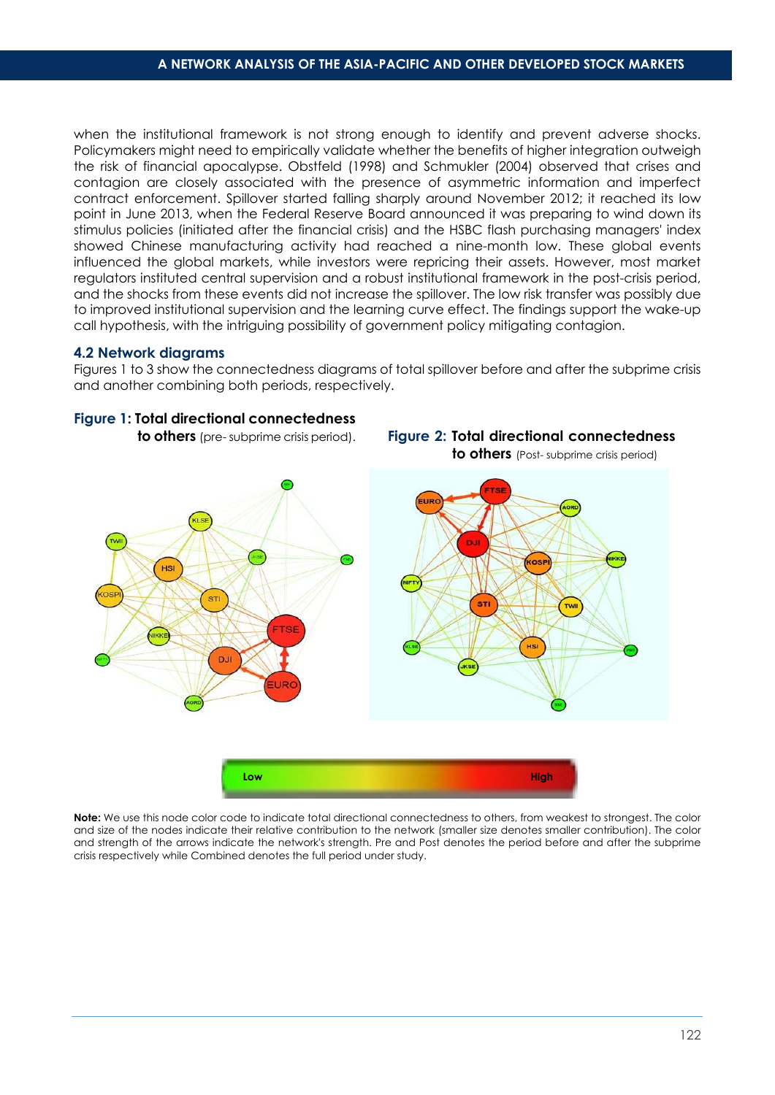when the institutional framework is not strong enough to identify and prevent adverse shocks. Policymakers might need to empirically validate whether the benefits of higher integration outweigh the risk of financial apocalypse. Obstfeld (1998) and Schmukler (2004) observed that crises and contagion are closely associated with the presence of asymmetric information and imperfect contract enforcement. Spillover started falling sharply around November 2012; it reached its low point in June 2013, when the Federal Reserve Board announced it was preparing to wind down its stimulus policies (initiated after the financial crisis) and the HSBC flash purchasing managers' index showed Chinese manufacturing activity had reached a nine-month low. These global events influenced the global markets, while investors were repricing their assets. However, most market regulators instituted central supervision and a robust institutional framework in the post-crisis period, and the shocks from these events did not increase the spillover. The low risk transfer was possibly due to improved institutional supervision and the learning curve effect. The findings support the wake-up call hypothesis, with the intriguing possibility of government policy mitigating contagion.

#### **4.2 Network diagrams**

Figures 1 to 3 show the connectedness diagrams of total spillover before and after the subprime crisis and another combining both periods, respectively.



**Note:** We use this node color code to indicate total directional connectedness to others, from weakest to strongest. The color and size of the nodes indicate their relative contribution to the network (smaller size denotes smaller contribution). The color and strength of the arrows indicate the network's strength. Pre and Post denotes the period before and after the subprime crisis respectively while Combined denotes the full period under study.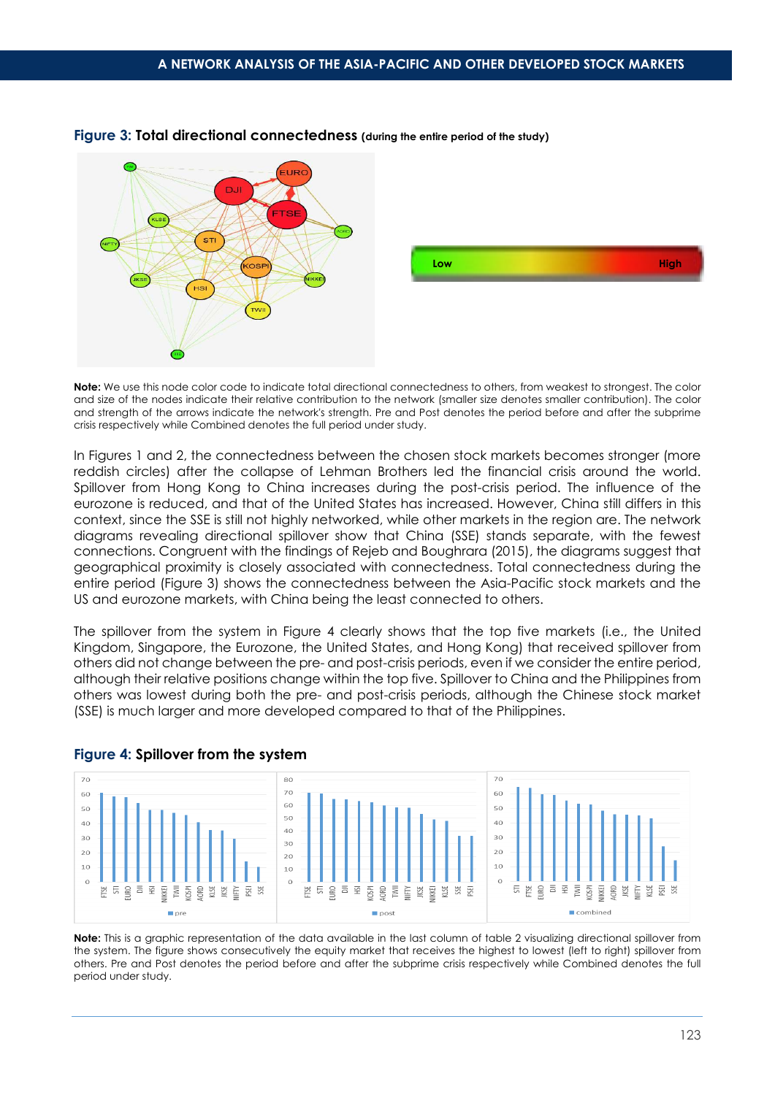

#### **Figure 3: Total directional connectedness (during the entire period of the study)**

**Note:** We use this node color code to indicate total directional connectedness to others, from weakest to strongest. The color and size of the nodes indicate their relative contribution to the network (smaller size denotes smaller contribution). The color and strength of the arrows indicate the network's strength. Pre and Post denotes the period before and after the subprime crisis respectively while Combined denotes the full period under study.

In Figures 1 and 2, the connectedness between the chosen stock markets becomes stronger (more reddish circles) after the collapse of Lehman Brothers led the financial crisis around the world. Spillover from Hong Kong to China increases during the post-crisis period. The influence of the eurozone is reduced, and that of the United States has increased. However, China still differs in this context, since the SSE is still not highly networked, while other markets in the region are. The network diagrams revealing directional spillover show that China (SSE) stands separate, with the fewest connections. Congruent with the findings of Rejeb and Boughrara (2015), the diagrams suggest that geographical proximity is closely associated with connectedness. Total connectedness during the entire period (Figure 3) shows the connectedness between the Asia-Pacific stock markets and the US and eurozone markets, with China being the least connected to others.

The spillover from the system in Figure 4 clearly shows that the top five markets (i.e., the United Kingdom, Singapore, the Eurozone, the United States, and Hong Kong) that received spillover from others did not change between the pre- and post-crisis periods, even if we consider the entire period, although their relative positions change within the top five. Spillover to China and the Philippines from others was lowest during both the pre- and post-crisis periods, although the Chinese stock market (SSE) is much larger and more developed compared to that of the Philippines.



#### **Figure 4: Spillover from the system**

**Note:** This is a graphic representation of the data available in the last column of table 2 visualizing directional spillover from the system. The figure shows consecutively the equity market that receives the highest to lowest (left to right) spillover from others. Pre and Post denotes the period before and after the subprime crisis respectively while Combined denotes the full period under study.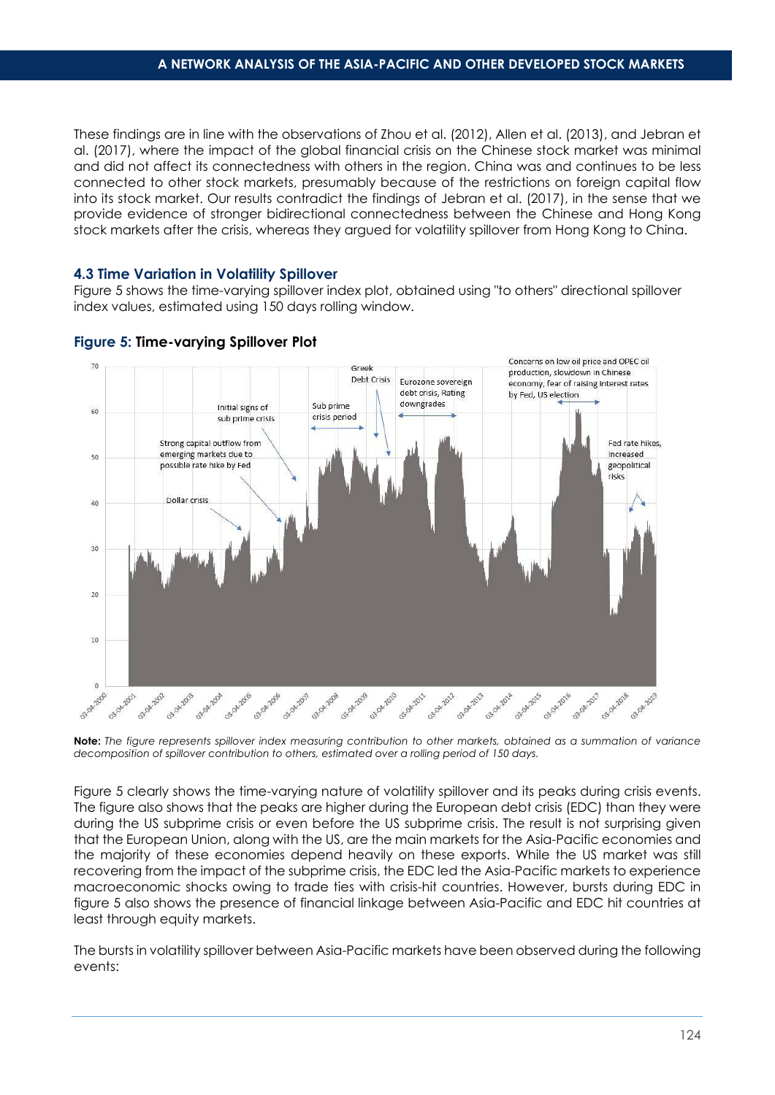These findings are in line with the observations of Zhou et al. (2012), Allen et al. (2013), and Jebran et al. (2017), where the impact of the global financial crisis on the Chinese stock market was minimal and did not affect its connectedness with others in the region. China was and continues to be less connected to other stock markets, presumably because of the restrictions on foreign capital flow into its stock market. Our results contradict the findings of Jebran et al. (2017), in the sense that we provide evidence of stronger bidirectional connectedness between the Chinese and Hong Kong stock markets after the crisis, whereas they argued for volatility spillover from Hong Kong to China.

#### **4.3 Time Variation in Volatility Spillover**

Figure 5 shows the time-varying spillover index plot, obtained using "to others" directional spillover index values, estimated using 150 days rolling window.



#### **Figure 5: Time-varying Spillover Plot**

**Note:** *The figure represents spillover index measuring contribution to other markets, obtained as a summation of variance decomposition of spillover contribution to others, estimated over a rolling period of 150 days.*

Figure 5 clearly shows the time-varying nature of volatility spillover and its peaks during crisis events. The figure also shows that the peaks are higher during the European debt crisis (EDC) than they were during the US subprime crisis or even before the US subprime crisis. The result is not surprising given that the European Union, along with the US, are the main markets for the Asia-Pacific economies and the majority of these economies depend heavily on these exports. While the US market was still recovering from the impact of the subprime crisis, the EDC led the Asia-Pacific markets to experience macroeconomic shocks owing to trade ties with crisis-hit countries. However, bursts during EDC in figure 5 also shows the presence of financial linkage between Asia-Pacific and EDC hit countries at least through equity markets.

The bursts in volatility spillover between Asia-Pacific markets have been observed during the following events: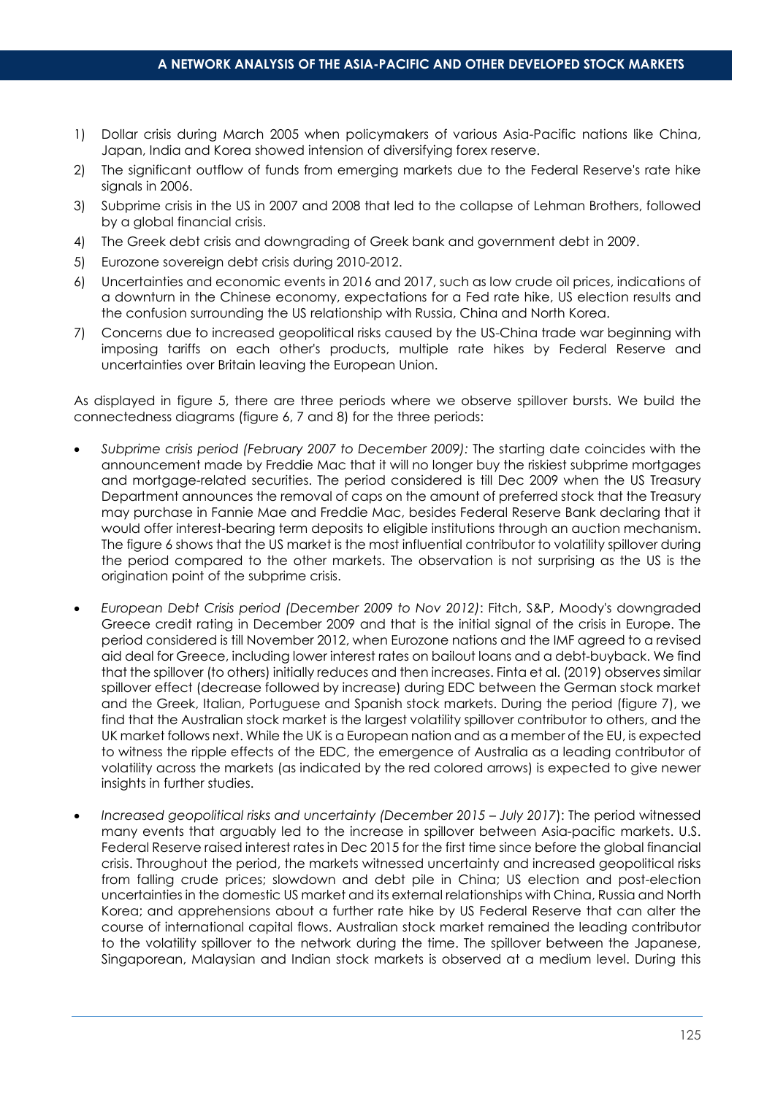- 1) Dollar crisis during March 2005 when policymakers of various Asia-Pacific nations like China, Japan, India and Korea showed intension of diversifying forex reserve.
- 2) The significant outflow of funds from emerging markets due to the Federal Reserve's rate hike signals in 2006.
- 3) Subprime crisis in the US in 2007 and 2008 that led to the collapse of Lehman Brothers, followed by a global financial crisis.
- 4) The Greek debt crisis and downgrading of Greek bank and government debt in 2009.
- 5) Eurozone sovereign debt crisis during 2010-2012.
- 6) Uncertainties and economic events in 2016 and 2017, such as low crude oil prices, indications of a downturn in the Chinese economy, expectations for a Fed rate hike, US election results and the confusion surrounding the US relationship with Russia, China and North Korea.
- 7) Concerns due to increased geopolitical risks caused by the US-China trade war beginning with imposing tariffs on each other's products, multiple rate hikes by Federal Reserve and uncertainties over Britain leaving the European Union.

As displayed in figure 5, there are three periods where we observe spillover bursts. We build the connectedness diagrams (figure 6, 7 and 8) for the three periods:

- *Subprime crisis period (February 2007 to December 2009):* The starting date coincides with the announcement made by Freddie Mac that it will no longer buy the riskiest subprime mortgages and mortgage-related securities. The period considered is till Dec 2009 when the US Treasury Department announces the removal of caps on the amount of preferred stock that the Treasury may purchase in Fannie Mae and Freddie Mac, besides Federal Reserve Bank declaring that it would offer interest-bearing term deposits to eligible institutions through an auction mechanism. The figure 6 shows that the US market is the most influential contributor to volatility spillover during the period compared to the other markets. The observation is not surprising as the US is the origination point of the subprime crisis.
- *European Debt Crisis period (December 2009 to Nov 2012)*: Fitch, S&P, Moody's downgraded Greece credit rating in December 2009 and that is the initial signal of the crisis in Europe. The period considered is till November 2012, when Eurozone nations and the IMF agreed to a revised aid deal for Greece, including lower interest rates on bailout loans and a debt-buyback. We find that the spillover (to others) initially reduces and then increases. Finta et al. (2019) observes similar spillover effect (decrease followed by increase) during EDC between the German stock market and the Greek, Italian, Portuguese and Spanish stock markets. During the period (figure 7), we find that the Australian stock market is the largest volatility spillover contributor to others, and the UK market follows next. While the UK is a European nation and as a member of the EU, is expected to witness the ripple effects of the EDC, the emergence of Australia as a leading contributor of volatility across the markets (as indicated by the red colored arrows) is expected to give newer insights in further studies.
- *Increased geopolitical risks and uncertainty (December 2015 July 2017*): The period witnessed many events that arguably led to the increase in spillover between Asia-pacific markets. U.S. Federal Reserve raised interest rates in Dec 2015 for the first time since before the global financial crisis. Throughout the period, the markets witnessed uncertainty and increased geopolitical risks from falling crude prices; slowdown and debt pile in China; US election and post-election uncertainties in the domestic US market and its external relationships with China, Russia and North Korea; and apprehensions about a further rate hike by US Federal Reserve that can alter the course of international capital flows. Australian stock market remained the leading contributor to the volatility spillover to the network during the time. The spillover between the Japanese, Singaporean, Malaysian and Indian stock markets is observed at a medium level. During this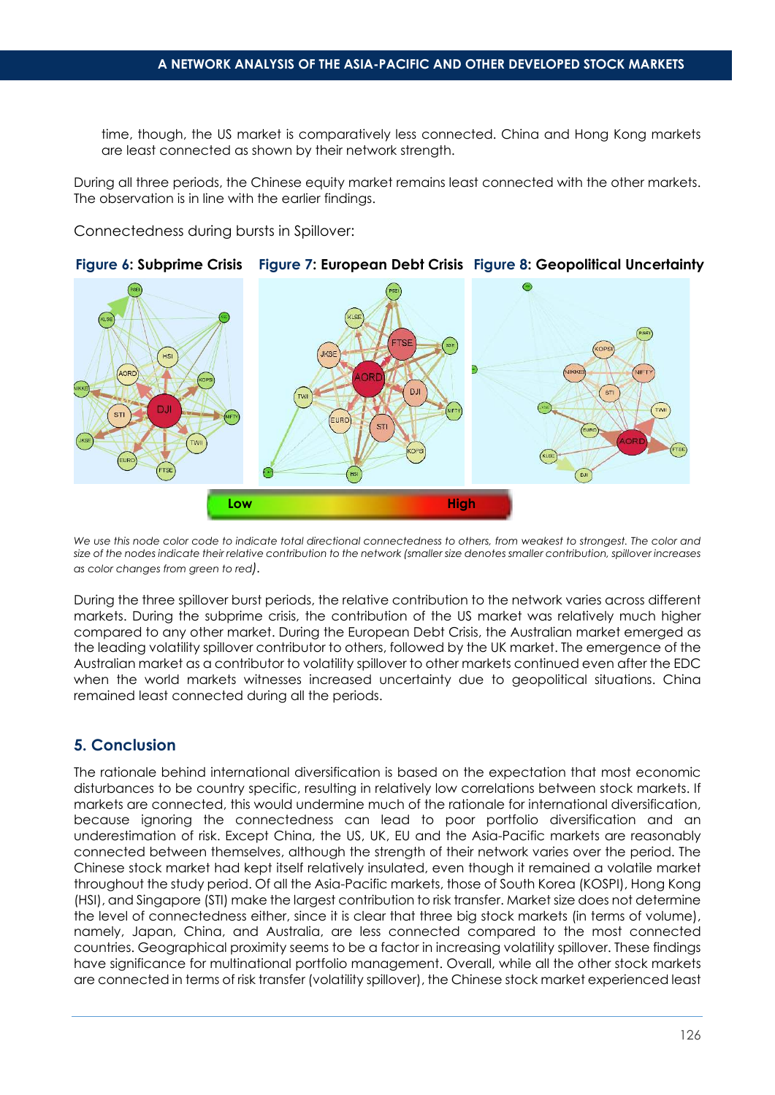time, though, the US market is comparatively less connected. China and Hong Kong markets are least connected as shown by their network strength.

During all three periods, the Chinese equity market remains least connected with the other markets. The observation is in line with the earlier findings.

Connectedness during bursts in Spillover:



*We use this node color code to indicate total directional connectedness to others, from weakest to strongest. The color and size of the nodes indicate their relative contribution to the network (smaller size denotes smaller contribution, spillover increases as color changes from green to red).*

During the three spillover burst periods, the relative contribution to the network varies across different markets. During the subprime crisis, the contribution of the US market was relatively much higher compared to any other market. During the European Debt Crisis, the Australian market emerged as the leading volatility spillover contributor to others, followed by the UK market. The emergence of the Australian market as a contributor to volatility spillover to other markets continued even after the EDC when the world markets witnesses increased uncertainty due to geopolitical situations. China remained least connected during all the periods.

# **5. Conclusion**

The rationale behind international diversification is based on the expectation that most economic disturbances to be country specific, resulting in relatively low correlations between stock markets. If markets are connected, this would undermine much of the rationale for international diversification, because ignoring the connectedness can lead to poor portfolio diversification and an underestimation of risk. Except China, the US, UK, EU and the Asia-Pacific markets are reasonably connected between themselves, although the strength of their network varies over the period. The Chinese stock market had kept itself relatively insulated, even though it remained a volatile market throughout the study period. Of all the Asia-Pacific markets, those of South Korea (KOSPI), Hong Kong (HSI), and Singapore (STI) make the largest contribution to risk transfer. Market size does not determine the level of connectedness either, since it is clear that three big stock markets (in terms of volume), namely, Japan, China, and Australia, are less connected compared to the most connected countries. Geographical proximity seems to be a factor in increasing volatility spillover. These findings have significance for multinational portfolio management. Overall, while all the other stock markets are connected in terms of risk transfer (volatility spillover), the Chinese stock market experienced least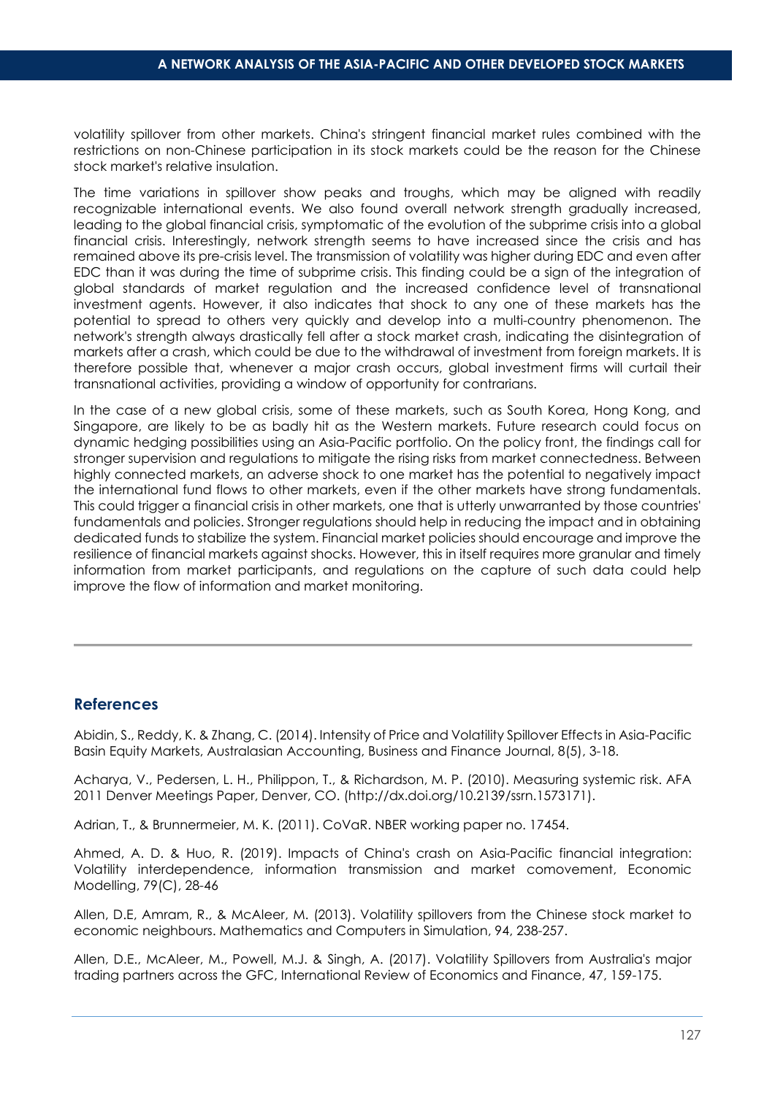volatility spillover from other markets. China's stringent financial market rules combined with the restrictions on non-Chinese participation in its stock markets could be the reason for the Chinese stock market's relative insulation.

The time variations in spillover show peaks and troughs, which may be aligned with readily recognizable international events. We also found overall network strength gradually increased, leading to the global financial crisis, symptomatic of the evolution of the subprime crisis into a global financial crisis. Interestingly, network strength seems to have increased since the crisis and has remained above its pre-crisis level. The transmission of volatility was higher during EDC and even after EDC than it was during the time of subprime crisis. This finding could be a sign of the integration of global standards of market regulation and the increased confidence level of transnational investment agents. However, it also indicates that shock to any one of these markets has the potential to spread to others very quickly and develop into a multi-country phenomenon. The network's strength always drastically fell after a stock market crash, indicating the disintegration of markets after a crash, which could be due to the withdrawal of investment from foreign markets. It is therefore possible that, whenever a major crash occurs, global investment firms will curtail their transnational activities, providing a window of opportunity for contrarians.

In the case of a new global crisis, some of these markets, such as South Korea, Hong Kong, and Singapore, are likely to be as badly hit as the Western markets. Future research could focus on dynamic hedging possibilities using an Asia-Pacific portfolio. On the policy front, the findings call for stronger supervision and regulations to mitigate the rising risks from market connectedness. Between highly connected markets, an adverse shock to one market has the potential to negatively impact the international fund flows to other markets, even if the other markets have strong fundamentals. This could trigger a financial crisis in other markets, one that is utterly unwarranted by those countries' fundamentals and policies. Stronger regulations should help in reducing the impact and in obtaining dedicated funds to stabilize the system. Financial market policies should encourage and improve the resilience of financial markets against shocks. However, this in itself requires more granular and timely information from market participants, and regulations on the capture of such data could help improve the flow of information and market monitoring.

# **References**

Abidin, S., Reddy, K. & Zhang, C. (2014). Intensity of Price and Volatility Spillover Effects in Asia-Pacific Basin Equity Markets, Australasian Accounting, Business and Finance Journal, 8(5), 3-18.

Acharya, V., Pedersen, L. H., Philippon, T., & Richardson, M. P. (2010). Measuring systemic risk. AFA 2011 Denver Meetings Paper, Denver, CO. (http://dx.doi.org/10.2139/ssrn.1573171).

Adrian, T., & Brunnermeier, M. K. (2011). CoVaR. NBER working paper no. 17454.

Ahmed, A. D. & Huo, R. (2019). Impacts of China's crash on Asia-Pacific financial integration: Volatility interdependence, information transmission and market comovement, Economic Modelling, 79(C), 28-46

Allen, D.E, Amram, R., & McAleer, M. (2013). Volatility spillovers from the Chinese stock market to economic neighbours. Mathematics and Computers in Simulation, 94, 238-257.

Allen, D.E., McAleer, M., Powell, M.J. & Singh, A. (2017). Volatility Spillovers from Australia's major trading partners across the GFC, International Review of Economics and Finance, 47, 159-175.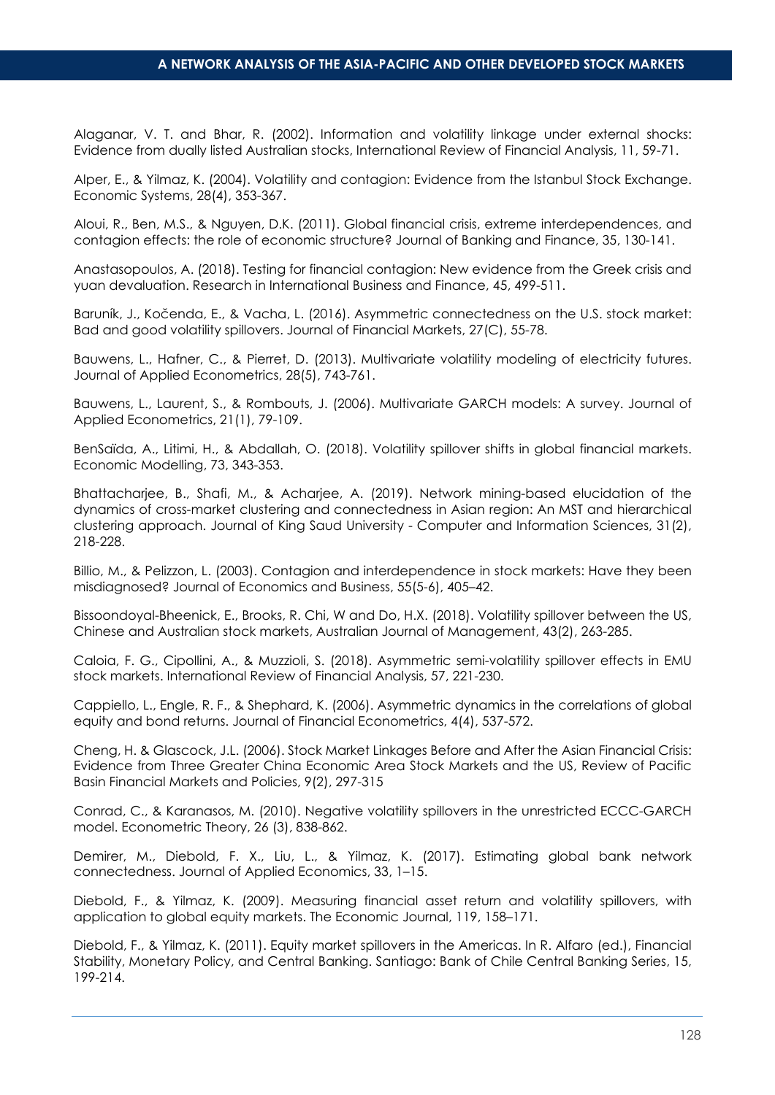Alaganar, V. T. and Bhar, R. (2002). Information and volatility linkage under external shocks: Evidence from dually listed Australian stocks, International Review of Financial Analysis, 11, 59-71.

Alper, E., & Yilmaz, K. (2004). Volatility and contagion: Evidence from the Istanbul Stock Exchange. Economic Systems, 28(4), 353-367.

Aloui, R., Ben, M.S., & Nguyen, D.K. (2011). Global financial crisis, extreme interdependences, and contagion effects: the role of economic structure? Journal of Banking and Finance, 35, 130-141.

Anastasopoulos, A. (2018). Testing for financial contagion: New evidence from the Greek crisis and yuan devaluation. Research in International Business and Finance, 45, 499-511.

Baruník, J., Kočenda, E., & Vacha, L. (2016). Asymmetric connectedness on the U.S. stock market: Bad and good volatility spillovers. Journal of Financial Markets, 27(C), 55-78.

Bauwens, L., Hafner, C., & Pierret, D. (2013). Multivariate volatility modeling of electricity futures. Journal of Applied Econometrics, 28(5), 743-761.

Bauwens, L., Laurent, S., & Rombouts, J. (2006). Multivariate GARCH models: A survey. Journal of Applied Econometrics, 21(1), 79-109.

BenSaïda, A., Litimi, H., & Abdallah, O. (2018). Volatility spillover shifts in global financial markets. Economic Modelling, 73, 343-353.

Bhattacharjee, B., Shafi, M., & Acharjee, A. (2019). Network mining-based elucidation of the dynamics of cross-market clustering and connectedness in Asian region: An MST and hierarchical clustering approach. Journal of King Saud University - Computer and Information Sciences, 31(2), 218-228.

Billio, M., & Pelizzon, L. (2003). Contagion and interdependence in stock markets: Have they been misdiagnosed? Journal of Economics and Business, 55(5-6), 405–42.

Bissoondoyal-Bheenick, E., Brooks, R. Chi, W and Do, H.X. (2018). Volatility spillover between the US, Chinese and Australian stock markets, Australian Journal of Management, 43(2), 263-285.

Caloia, F. G., Cipollini, A., & Muzzioli, S. (2018). Asymmetric semi-volatility spillover effects in EMU stock markets. International Review of Financial Analysis, 57, 221-230.

Cappiello, L., Engle, R. F., & Shephard, K. (2006). Asymmetric dynamics in the correlations of global equity and bond returns. Journal of Financial Econometrics, 4(4), 537-572.

Cheng, H. & Glascock, J.L. (2006). Stock Market Linkages Before and After the Asian Financial Crisis: Evidence from Three Greater China Economic Area Stock Markets and the US, Review of Pacific Basin Financial Markets and Policies, 9(2), 297-315

Conrad, C., & Karanasos, M. (2010). Negative volatility spillovers in the unrestricted ECCC-GARCH model. Econometric Theory, 26 (3), 838-862.

Demirer, M., Diebold, F. X., Liu, L., & Yilmaz, K. (2017). Estimating global bank network connectedness. Journal of Applied Economics, 33, 1–15.

Diebold, F., & Yilmaz, K. (2009). Measuring financial asset return and volatility spillovers, with application to global equity markets. The Economic Journal, 119, 158–171.

Diebold, F., & Yilmaz, K. (2011). Equity market spillovers in the Americas. In R. Alfaro (ed.), Financial Stability, Monetary Policy, and Central Banking. Santiago: Bank of Chile Central Banking Series, 15, 199-214.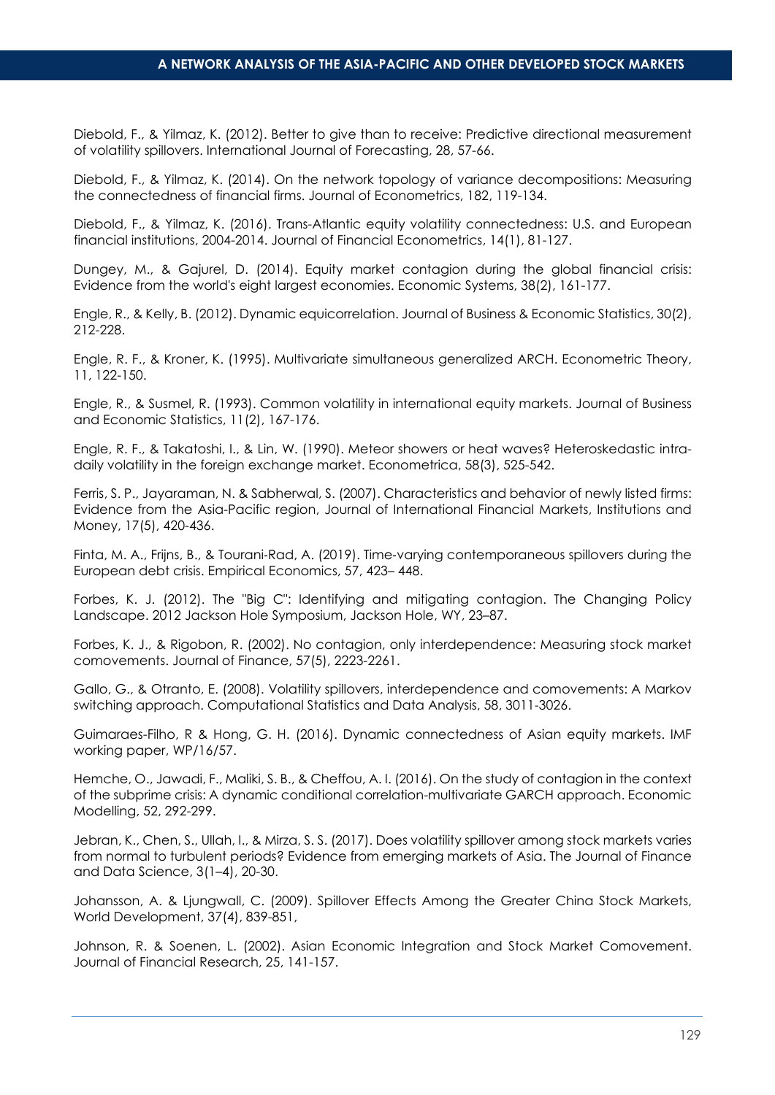Diebold, F., & Yilmaz, K. (2012). Better to give than to receive: Predictive directional measurement of volatility spillovers. International Journal of Forecasting, 28, 57-66.

Diebold, F., & Yilmaz, K. (2014). On the network topology of variance decompositions: Measuring the connectedness of financial firms. Journal of Econometrics, 182, 119-134.

Diebold, F., & Yilmaz, K. (2016). Trans-Atlantic equity volatility connectedness: U.S. and European financial institutions, 2004-2014. Journal of Financial Econometrics, 14(1), 81-127.

Dungey, M., & Gajurel, D. (2014). Equity market contagion during the global financial crisis: Evidence from the world's eight largest economies. Economic Systems, 38(2), 161-177.

Engle, R., & Kelly, B. (2012). Dynamic equicorrelation. Journal of Business & Economic Statistics, 30(2), 212-228.

Engle, R. F., & Kroner, K. (1995). Multivariate simultaneous generalized ARCH. Econometric Theory, 11, 122-150.

Engle, R., & Susmel, R. (1993). Common volatility in international equity markets. Journal of Business and Economic Statistics, 11(2), 167-176.

Engle, R. F., & Takatoshi, I., & Lin, W. (1990). Meteor showers or heat waves? Heteroskedastic intradaily volatility in the foreign exchange market. Econometrica, 58(3), 525-542.

Ferris, S. P., Jayaraman, N. & Sabherwal, S. (2007). Characteristics and behavior of newly listed firms: Evidence from the Asia-Pacific region, Journal of International Financial Markets, Institutions and Money, 17(5), 420-436.

Finta, M. A., Frijns, B., & Tourani‐Rad, A. (2019). Time‐varying contemporaneous spillovers during the European debt crisis. Empirical Economics, 57, 423– 448.

Forbes, K. J. (2012). The "Big C": Identifying and mitigating contagion. The Changing Policy Landscape. 2012 Jackson Hole Symposium, Jackson Hole, WY, 23–87.

Forbes, K. J., & Rigobon, R. (2002). No contagion, only interdependence: Measuring stock market comovements. Journal of Finance, 57(5), 2223-2261.

Gallo, G., & Otranto, E. (2008). Volatility spillovers, interdependence and comovements: A Markov switching approach. Computational Statistics and Data Analysis, 58, 3011-3026.

Guimaraes-Filho, R & Hong, G. H. (2016). Dynamic connectedness of Asian equity markets. IMF working paper, WP/16/57.

Hemche, O., Jawadi, F., Maliki, S. B., & Cheffou, A. I. (2016). On the study of contagion in the context of the subprime crisis: A dynamic conditional correlation-multivariate GARCH approach. Economic Modelling, 52, 292-299.

Jebran, K., Chen, S., Ullah, I., & Mirza, S. S. (2017). Does volatility spillover among stock markets varies from normal to turbulent periods? Evidence from emerging markets of Asia. The Journal of Finance and Data Science, 3(1–4), 20-30.

Johansson, A. & Ljungwall, C. (2009). Spillover Effects Among the Greater China Stock Markets, World Development, 37(4), 839-851,

Johnson, R. & Soenen, L. (2002). Asian Economic Integration and Stock Market Comovement. Journal of Financial Research, 25, 141-157.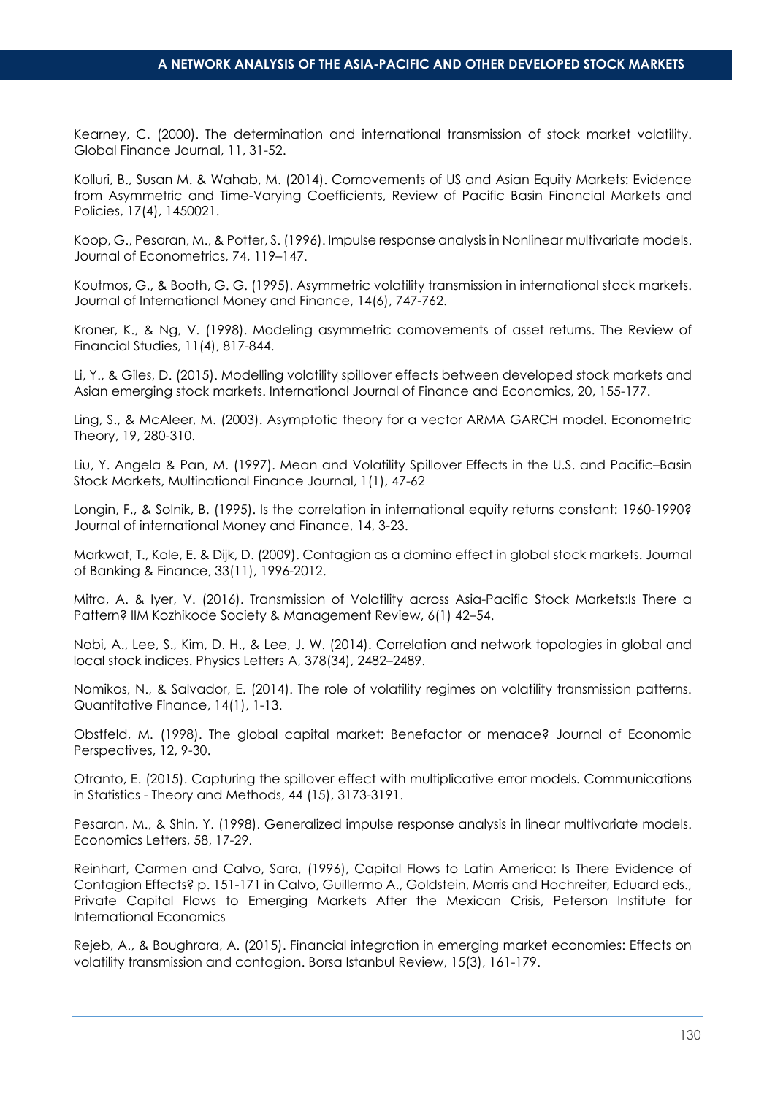Kearney, C. (2000). The determination and international transmission of stock market volatility. Global Finance Journal, 11, 31-52.

Kolluri, B., Susan M. & Wahab, M. (2014). Comovements of US and Asian Equity Markets: Evidence from Asymmetric and Time-Varying Coefficients, Review of Pacific Basin Financial Markets and Policies, 17(4), 1450021.

Koop, G., Pesaran, M., & Potter, S. (1996). Impulse response analysis in Nonlinear multivariate models. Journal of Econometrics, 74, 119–147.

Koutmos, G., & Booth, G. G. (1995). Asymmetric volatility transmission in international stock markets. Journal of International Money and Finance, 14(6), 747-762.

Kroner, K., & Ng, V. (1998). Modeling asymmetric comovements of asset returns. The Review of Financial Studies, 11(4), 817-844.

Li, Y., & Giles, D. (2015). Modelling volatility spillover effects between developed stock markets and Asian emerging stock markets. International Journal of Finance and Economics, 20, 155-177.

Ling, S., & McAleer, M. (2003). Asymptotic theory for a vector ARMA GARCH model. Econometric Theory, 19, 280-310.

Liu, Y. Angela & Pan, M. (1997). Mean and Volatility Spillover Effects in the U.S. and Pacific–Basin Stock Markets, Multinational Finance Journal, 1(1), 47-62

Longin, F., & Solnik, B. (1995). Is the correlation in international equity returns constant: 1960-1990? Journal of international Money and Finance, 14, 3-23.

Markwat, T., Kole, E. & Dijk, D. (2009). Contagion as a domino effect in global stock markets. Journal of Banking & Finance, 33(11), 1996-2012.

Mitra, A. & Iyer, V. (2016). Transmission of Volatility across Asia-Pacific Stock Markets:Is There a Pattern? IIM Kozhikode Society & Management Review, 6(1) 42–54.

Nobi, A., Lee, S., Kim, D. H., & Lee, J. W. (2014). Correlation and network topologies in global and local stock indices. Physics Letters A, 378(34), 2482–2489.

Nomikos, N., & Salvador, E. (2014). The role of volatility regimes on volatility transmission patterns. Quantitative Finance, 14(1), 1-13.

Obstfeld, M. (1998). The global capital market: Benefactor or menace? Journal of Economic Perspectives, 12, 9-30.

Otranto, E. (2015). Capturing the spillover effect with multiplicative error models. Communications in Statistics - Theory and Methods, 44 (15), 3173-3191.

Pesaran, M., & Shin, Y. (1998). Generalized impulse response analysis in linear multivariate models. Economics Letters, 58, 17-29.

Reinhart, Carmen and Calvo, Sara, (1996), Capital Flows to Latin America: Is There Evidence of Contagion Effects? p. 151-171 in Calvo, Guillermo A., Goldstein, Morris and Hochreiter, Eduard eds., Private Capital Flows to Emerging Markets After the Mexican Crisis, Peterson Institute for International Economics

Rejeb, A., & Boughrara, A. (2015). Financial integration in emerging market economies: Effects on volatility transmission and contagion. Borsa Istanbul Review, 15(3), 161-179.